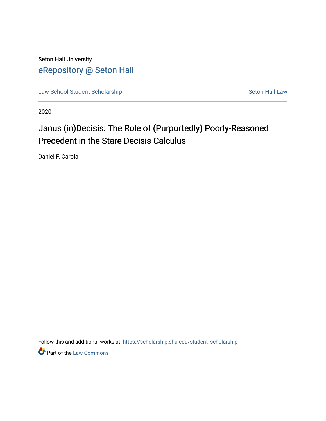Seton Hall University [eRepository @ Seton Hall](https://scholarship.shu.edu/)

[Law School Student Scholarship](https://scholarship.shu.edu/student_scholarship) Seton Hall Law

2020

# Janus (in)Decisis: The Role of (Purportedly) Poorly-Reasoned Precedent in the Stare Decisis Calculus

Daniel F. Carola

Follow this and additional works at: [https://scholarship.shu.edu/student\\_scholarship](https://scholarship.shu.edu/student_scholarship?utm_source=scholarship.shu.edu%2Fstudent_scholarship%2F1225&utm_medium=PDF&utm_campaign=PDFCoverPages) 

**Part of the [Law Commons](http://network.bepress.com/hgg/discipline/578?utm_source=scholarship.shu.edu%2Fstudent_scholarship%2F1225&utm_medium=PDF&utm_campaign=PDFCoverPages)**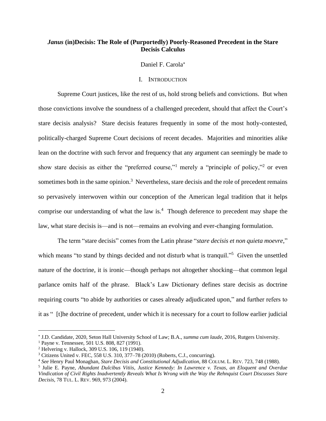## *Janus* **(in)Decisis: The Role of (Purportedly) Poorly-Reasoned Precedent in the Stare Decisis Calculus**

## Daniel F. Carola

### I. INTRODUCTION

Supreme Court justices, like the rest of us, hold strong beliefs and convictions. But when those convictions involve the soundness of a challenged precedent, should that affect the Court's stare decisis analysis? Stare decisis features frequently in some of the most hotly-contested, politically-charged Supreme Court decisions of recent decades. Majorities and minorities alike lean on the doctrine with such fervor and frequency that any argument can seemingly be made to show stare decisis as either the "preferred course,"<sup>1</sup> merely a "principle of policy,"<sup>2</sup> or even sometimes both in the same opinion.<sup>3</sup> Nevertheless, stare decisis and the role of precedent remains so pervasively interwoven within our conception of the American legal tradition that it helps comprise our understanding of what the law is.<sup>4</sup> Though deference to precedent may shape the law, what stare decisis is—and is not—remains an evolving and ever-changing formulation.

The term "stare decisis" comes from the Latin phrase "*stare decisis et non quieta moevre*," which means "to stand by things decided and not disturb what is tranquil."<sup>5</sup> Given the unsettled nature of the doctrine, it is ironic—though perhaps not altogether shocking—that common legal parlance omits half of the phrase. Black's Law Dictionary defines stare decisis as doctrine requiring courts "to abide by authorities or cases already adjudicated upon," and further refers to it as " [t]he doctrine of precedent, under which it is necessary for a court to follow earlier judicial

J.D. Candidate, 2020, Seton Hall University School of Law; B.A., *summa cum laude*, 2016, Rutgers University.

<sup>1</sup> Payne v. Tennessee, 501 U.S. 808, 827 (1991).

<sup>2</sup> Helvering v. Hallock, 309 U.S. 106, 119 (1940).

<sup>3</sup> Citizens United v. FEC, 558 U.S. 310, 377–78 (2010) (Roberts, C.J., concurring).

<sup>4</sup> *See* Henry Paul Monaghan, *Stare Decisis and Constitutional Adjudication*, 88 COLUM. L. REV. 723, 748 (1988).

<sup>5</sup> Julie E. Payne, *Abundant Dulcibus Vitiis, Justice Kennedy: In Lawrence v. Texas, an Eloquent and Overdue Vindication of Civil Rights Inadvertently Reveals What Is Wrong with the Way the Rehnquist Court Discusses Stare Decisis*, 78 TUL. L. REV. 969, 973 (2004).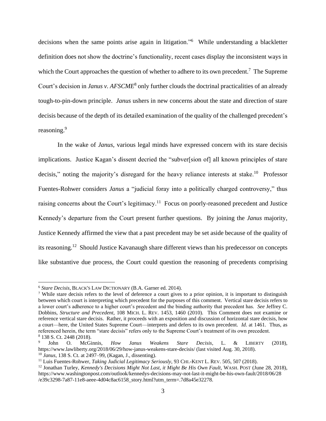decisions when the same points arise again in litigation."<sup>6</sup> While understanding a blackletter definition does not show the doctrine's functionality, recent cases display the inconsistent ways in which the Court approaches the question of whether to adhere to its own precedent.<sup>7</sup> The Supreme Court's decision in *Janus v. AFSCME*<sup>8</sup> only further clouds the doctrinal practicalities of an already tough-to-pin-down principle. *Janus* ushers in new concerns about the state and direction of stare decisis because of the depth of its detailed examination of the quality of the challenged precedent's reasoning.<sup>9</sup>

<span id="page-2-0"></span>In the wake of *Janus*, various legal minds have expressed concern with its stare decisis implications. Justice Kagan's dissent decried the "subver[sion of] all known principles of stare decisis," noting the majority's disregard for the heavy reliance interests at stake.<sup>10</sup> Professor Fuentes-Rohwer considers *Janus* a "judicial foray into a politically charged controversy," thus raising concerns about the Court's legitimacy.<sup>11</sup> Focus on poorly-reasoned precedent and Justice Kennedy's departure from the Court present further questions. By joining the *Janus* majority*,*  Justice Kennedy affirmed the view that a past precedent may be set aside because of the quality of its reasoning.<sup>12</sup> Should Justice Kavanaugh share different views than his predecessor on concepts like substantive due process, the Court could question the reasoning of precedents comprising

<sup>6</sup> *Stare Decisis*, BLACK'S LAW DICTIONARY (B.A. Garner ed. 2014).

<sup>&</sup>lt;sup>7</sup> While stare decisis refers to the level of deference a court gives to a prior opinion, it is important to distinguish between which court is interpreting which precedent for the purposes of this comment. Vertical stare decisis refers to a lower court's adherence to a higher court's precedent and the binding authority that precedent has. *See* Jeffrey C. Dobbins, *Structure and Precedent*, 108 MICH. L. REV. 1453, 1460 (2010). This Comment does not examine or reference vertical stare decisis. Rather, it proceeds with an exposition and discussion of horizontal stare decisis, how a court—here, the United States Supreme Court—interprets and defers to its own precedent. *Id*. at 1461. Thus, as referenced herein, the term "stare decisis" refers only to the Supreme Court's treatment of its own precedent. <sup>8</sup> 138 S. Ct. 2448 (2018).

<sup>9</sup> John O. McGinnis, *How Janus Weakens Stare Decisis*, L. & LIBERTY (2018), https://www.lawliberty.org/2018/06/29/how-janus-weakens-stare-decisis/ (last visited Aug. 30, 2018). <sup>10</sup> *Janus*, 138 S. Ct. at 2497–99, (Kagan, J., dissenting).

<sup>11</sup> Luis Fuentes-Rohwer, *Taking Judicial Legitimacy Seriously*, 93 CHI.-KENT L. REV. 505, 507 (2018).

<sup>12</sup> Jonathan Turley, *Kennedy's Decisions Might Not Last*, *it Might Be His Own Fault*, WASH. POST (June 28, 2018), https://www.washingtonpost.com/outlook/kennedys-decisions-may-not-last-it-might-be-his-own-fault/2018/06/28 /e39c3298-7a87-11e8-aeee-4d04c8ac6158\_story.html?utm\_term=.7d8a45e32278.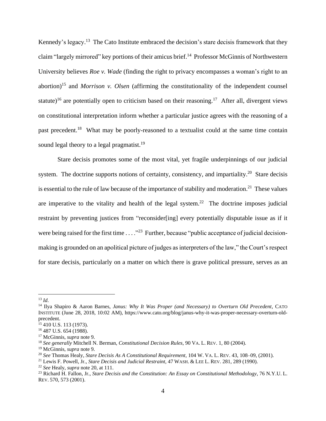Kennedy's legacy.<sup>13</sup> The Cato Institute embraced the decision's stare decisis framework that they claim "largely mirrored" key portions of their amicus brief.<sup>14</sup> Professor McGinnis of Northwestern University believes *Roe v. Wade* (finding the right to privacy encompasses a woman's right to an abortion)<sup>15</sup> and *Morrison v. Olsen* (affirming the constitutionality of the independent counsel statute)<sup>16</sup> are potentially open to criticism based on their reasoning.<sup>17</sup> After all, divergent views on constitutional interpretation inform whether a particular justice agrees with the reasoning of a past precedent.<sup>18</sup> What may be poorly-reasoned to a textualist could at the same time contain sound legal theory to a legal pragmatist.<sup>19</sup>

<span id="page-3-0"></span>Stare decisis promotes some of the most vital, yet fragile underpinnings of our judicial system. The doctrine supports notions of certainty, consistency, and impartiality.<sup>20</sup> Stare decisis is essential to the rule of law because of the importance of stability and moderation.<sup>21</sup> These values are imperative to the vitality and health of the legal system.<sup>22</sup> The doctrine imposes judicial restraint by preventing justices from "reconsider[ing] every potentially disputable issue as if it were being raised for the first time  $\dots$ <sup>23</sup> Further, because "public acceptance of judicial decisionmaking is grounded on an apolitical picture of judges as interpreters of the law," the Court's respect for stare decisis, particularly on a matter on which there is grave political pressure, serves as an

<sup>13</sup> *Id*.

<sup>14</sup> Ilya Shapiro & Aaron Barnes, *Janus: Why It Was Proper (and Necessary) to Overturn Old Precedent*, CATO INSTITUTE (June 28, 2018, 10:02 AM), https://www.cato.org/blog/janus-why-it-was-proper-necessary-overturn-oldprecedent.

 $15$  410 U.S. 113 (1973).

<sup>16</sup> 487 U.S. 654 (1988).

<sup>17</sup> McGinnis, *supra* note [9.](#page-2-0)

<sup>18</sup> *See generally* Mitchell N. Berman, *Constitutional Decision Rules*, 90 VA. L. REV. 1, 80 (2004).

<sup>19</sup> McGinnis, *supra* note [9.](#page-2-0)

<sup>20</sup> *See* Thomas Healy, *Stare Decisis As A Constitutional Requirement*, 104 W. VA. L. REV. 43, 108–09, (2001).

<sup>21</sup> Lewis F. Powell, Jr., *Stare Decisis and Judicial Restraint*, 47 WASH. & LEE L. REV. 281, 289 (1990).

<sup>22</sup> *See* Healy, *supra* note [20,](#page-3-0) at 111.

<sup>23</sup> Richard H. Fallon, Jr., *Stare Decisis and the Constitution: An Essay on Constitutional Methodology*, 76 N.Y.U. L. REV. 570, 573 (2001).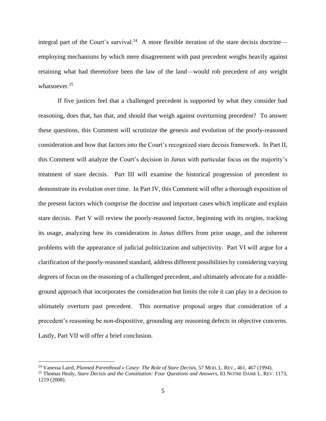integral part of the Court's survival.<sup>24</sup> A more flexible iteration of the stare decisis doctrine employing mechanisms by which mere disagreement with past precedent weighs heavily against retaining what had theretofore been the law of the land—would rob precedent of any weight whatsoever.<sup>25</sup>

<span id="page-4-0"></span>If five justices feel that a challenged precedent is supported by what they consider bad reasoning, does that, has that, and should that weigh against overturning precedent? To answer these questions, this Comment will scrutinize the genesis and evolution of the poorly-reasoned consideration and how that factors into the Court's recognized stare decisis framework. In Part II, this Comment will analyze the Court's decision in *Janus* with particular focus on the majority's treatment of stare decisis. Part III will examine the historical progression of precedent to demonstrate its evolution over time. In Part IV, this Comment will offer a thorough exposition of the present factors which comprise the doctrine and important cases which implicate and explain stare decisis. Part V will review the poorly-reasoned factor, beginning with its origins, tracking its usage, analyzing how its consideration in *Janus* differs from prior usage, and the inherent problems with the appearance of judicial politicization and subjectivity. Part VI will argue for a clarification of the poorly-reasoned standard, address different possibilities by considering varying degrees of focus on the reasoning of a challenged precedent, and ultimately advocate for a middleground approach that incorporates the consideration but limits the role it can play in a decision to ultimately overturn past precedent. This normative proposal urges that consideration of a precedent's reasoning be non-dispositive, grounding any reasoning defects in objective concerns. Lastly, Part VII will offer a brief conclusion.

<sup>24</sup> Vanessa Laird, *Planned Parenthood v Casey: The Role of Stare Decisis*, 57 MOD. L. REV., 461, 467 (1994).

<sup>25</sup> Thomas Healy, *Stare Decisis and the Constitution: Four Questions and Answers*, 83 NOTRE DAME L. REV. 1173, 1219 (2008).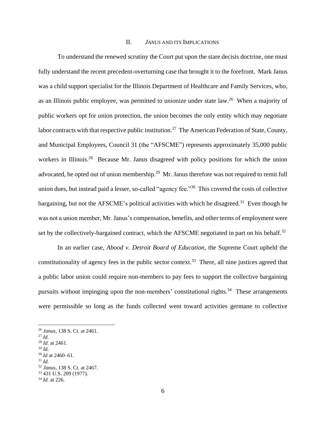#### II. *JANUS* AND ITS IMPLICATIONS

To understand the renewed scrutiny the Court put upon the stare decisis doctrine, one must fully understand the recent precedent-overturning case that brought it to the forefront. Mark Janus was a child support specialist for the Illinois Department of Healthcare and Family Services, who, as an Illinois public employee, was permitted to unionize under state law.<sup>26</sup> When a majority of public workers opt for union protection, the union becomes the only entity which may negotiate labor contracts with that respective public institution.<sup>27</sup> The American Federation of State, County, and Municipal Employees, Council 31 (the "AFSCME") represents approximately 35,000 public workers in Illinois.<sup>28</sup> Because Mr. Janus disagreed with policy positions for which the union advocated, he opted out of union membership.<sup>29</sup> Mr. Janus therefore was not required to remit full union dues, but instead paid a lesser, so-called "agency fee."<sup>30</sup> This covered the costs of collective bargaining, but not the AFSCME's political activities with which he disagreed.<sup>31</sup> Even though he was not a union member, Mr. Janus's compensation, benefits, and other terms of employment were set by the collectively-bargained contract, which the AFSCME negotiated in part on his behalf. $32$ 

In an earlier case, *Abood v. Detroit Board of Education*, the Supreme Court upheld the constitutionality of agency fees in the public sector context. <sup>33</sup> There, all nine justices agreed that a public labor union could require non-members to pay fees to support the collective bargaining pursuits without impinging upon the non-members' constitutional rights.<sup>34</sup> These arrangements were permissible so long as the funds collected went toward activities germane to collective

<sup>26</sup> *Janus*, 138 S. Ct. at 2461.

<sup>27</sup> *Id.*

<sup>28</sup> *Id.* at 2461.

<sup>29</sup> *Id.*

<sup>30</sup> *Id* at 2460–61.

<sup>31</sup> *Id.*

<sup>32</sup> *Janus*, 138 S. Ct. at 2467.

<sup>33</sup> 431 U.S. 209 (1977).

<sup>34</sup> *Id.* at 226.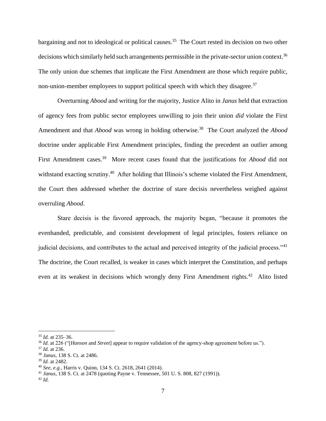bargaining and not to ideological or political causes.<sup>35</sup> The Court rested its decision on two other decisions which similarly held such arrangements permissible in the private-sector union context.<sup>36</sup> The only union due schemes that implicate the First Amendment are those which require public, non-union-member employees to support political speech with which they disagree.<sup>37</sup>

Overturning *Abood* and writing for the majority, Justice Alito in *Janus* held that extraction of agency fees from public sector employees unwilling to join their union *did* violate the First Amendment and that *Abood* was wrong in holding otherwise.<sup>38</sup> The Court analyzed the *Abood* doctrine under applicable First Amendment principles, finding the precedent an outlier among First Amendment cases. 39 More recent cases found that the justifications for *Abood* did not withstand exacting scrutiny.<sup>40</sup> After holding that Illinois's scheme violated the First Amendment, the Court then addressed whether the doctrine of stare decisis nevertheless weighed against overruling *Abood*.

Stare decisis is the favored approach, the majority began, "because it promotes the evenhanded, predictable, and consistent development of legal principles, fosters reliance on judicial decisions, and contributes to the actual and perceived integrity of the judicial process."<sup>41</sup> The doctrine, the Court recalled, is weaker in cases which interpret the Constitution, and perhaps even at its weakest in decisions which wrongly deny First Amendment rights.<sup>42</sup> Alito listed

<sup>35</sup> *Id.* at 235–36.

<sup>36</sup> *Id.* at 226 ("[*Hanson* and *Street*] appear to require validation of the agency-shop agreement before us.").

<sup>37</sup> *Id.* at 236.

<sup>38</sup> *Janus*, 138 S. Ct. at 2486.

<sup>39</sup> *Id.* at 2482.

<sup>40</sup> *See, e.g.*, Harris v. Quinn, 134 S. Ct. 2618, 2641 (2014).

<sup>41</sup> *Janus*, 138 S. Ct. at 2478 (quoting Payne v. Tennessee, 501 U. S. 808, 827 (1991)).

<sup>42</sup> *Id.*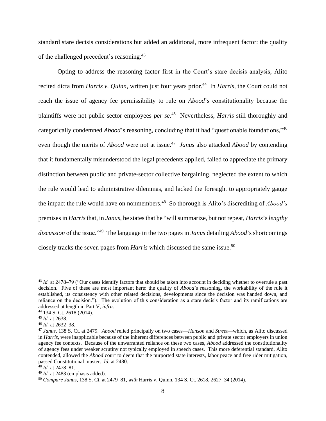standard stare decisis considerations but added an additional, more infrequent factor: the quality of the challenged precedent's reasoning.<sup>43</sup>

Opting to address the reasoning factor first in the Court's stare decisis analysis, Alito recited dicta from *Harris v. Quinn*, written just four years prior.<sup>44</sup> In *Harris*, the Court could not reach the issue of agency fee permissibility to rule on *Abood*'s constitutionality because the plaintiffs were not public sector employees *per se*. 45 Nevertheless, *Harris* still thoroughly and categorically condemned *Abood*'s reasoning, concluding that it had "questionable foundations,"<sup>46</sup> even though the merits of *Abood* were not at issue. 47 *Janus* also attacked *Abood* by contending that it fundamentally misunderstood the legal precedents applied, failed to appreciate the primary distinction between public and private-sector collective bargaining, neglected the extent to which the rule would lead to administrative dilemmas, and lacked the foresight to appropriately gauge the impact the rule would have on nonmembers.<sup>48</sup> So thorough is Alito's discrediting of *Abood's*  premises in *Harris*that, in *Janus*, he states that he "will summarize, but not repeat, *Harris*'s *lengthy discussion* of the issue."<sup>49</sup> The language in the two pages in *Janus* detailing *Abood*'s shortcomings closely tracks the seven pages from *Harris* which discussed the same issue.<sup>50</sup>

<sup>43</sup> *Id.* at 2478–79 ("Our cases identify factors that should be taken into account in deciding whether to overrule a past decision. Five of these are most important here: the quality of *Abood*'s reasoning, the workability of the rule it established, its consistency with other related decisions, developments since the decision was handed down, and reliance on the decision."). The evolution of this consideration as a stare decisis factor and its ramifications are addressed at length in Part V, *infra*.

<sup>44</sup> 134 S. Ct. 2618 (2014).

<sup>45</sup> *Id*. at 2638.

<sup>46</sup> *Id.* at 2632–38.

<sup>47</sup> *Janus*, 138 S. Ct. at 2479. *Abood* relied principally on two cases—*Hanson* and *Street*—which, as Alito discussed in *Harris*, were inapplicable because of the inherent differences between public and private sector employers in union agency fee contexts. Because of the unwarranted reliance on these two cases, *Abood* addressed the constitutionality of agency fees under weaker scrutiny not typically employed in speech cases. This more deferential standard, Alito contended, allowed the *Abood* court to deem that the purported state interests, labor peace and free rider mitigation, passed Constitutional muster. *Id.* at 2480.

<sup>48</sup> *Id.* at 2478–81.

<sup>49</sup> *Id.* at 2483 (emphasis added).

<sup>50</sup> *Compare Janus*, 138 S. Ct. at 2479–81, *with* Harris v. Quinn, 134 S. Ct. 2618, 2627–34 (2014).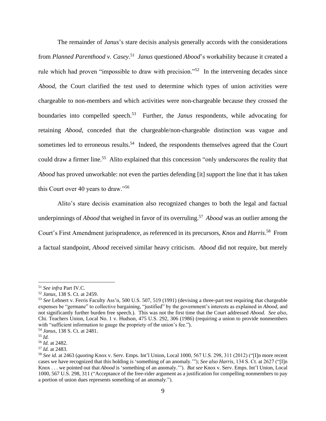The remainder of *Janus*'s stare decisis analysis generally accords with the considerations from *Planned Parenthood v. Casey*. 51 *Janus* questioned *Abood*'s workability because it created a rule which had proven "impossible to draw with precision."<sup>52</sup> In the intervening decades since *Abood*, the Court clarified the test used to determine which types of union activities were chargeable to non-members and which activities were non-chargeable because they crossed the boundaries into compelled speech.<sup>53</sup> Further, the *Janus* respondents, while advocating for retaining *Abood*, conceded that the chargeable/non-chargeable distinction was vague and sometimes led to erroneous results.<sup>54</sup> Indeed, the respondents themselves agreed that the Court could draw a firmer line.<sup>55</sup> Alito explained that this concession "only underscores the reality that *Abood* has proved unworkable: not even the parties defending [it] support the line that it has taken this Court over 40 years to draw."<sup>56</sup>

Alito's stare decisis examination also recognized changes to both the legal and factual underpinnings of *Abood* that weighed in favor of its overruling. 57 *Abood* was an outlier among the Court's First Amendment jurisprudence, as referenced in its precursors, *Knox* and *Harris*. <sup>58</sup> From a factual standpoint, *Abood* received similar heavy criticism. *Abood* did not require, but merely

<sup>51</sup> *See infra* Part IV.C.

<sup>52</sup> *Janus*, 138 S. Ct. at 2459.

<sup>53</sup> *See* Lehnert v. Ferris Faculty Ass'n, 500 U.S. 507, 519 (1991) (devising a three-part test requiring that chargeable expenses be "germane" to collective bargaining, "justified" by the government's interests as explained in *Abood*, and not significantly further burden free speech.). This was not the first time that the Court addressed *Abood*. *See also*, Chi. Teachers Union, Local No. 1 v. Hudson, 475 U.S. 292, 306 (1986) (requiring a union to provide nonmembers with "sufficient information to gauge the propriety of the union's fee.").

<sup>54</sup> *Janus*, 138 S. Ct. at 2481.

<sup>55</sup> *Id.*

<sup>56</sup> *Id.* at 2482.

<sup>57</sup> *Id.* at 2483.

<sup>58</sup> *See id.* at 2463 (*quoting* Knox v. Serv. Emps. Int'l Union, Local 1000, 567 U.S. 298, 311 (2012) ("[I]n more recent cases we have recognized that this holding is 'something of an anomaly.'"); *See also Harris*, 134 S. Ct. at 2627 ("[I]n Knox . . . we pointed out that *Abood* is 'something of an anomaly.'"). *But see* Knox v. Serv. Emps. Int'l Union, Local 1000, 567 U.S. 298, 311 ("Acceptance of the free-rider argument as a justification for compelling nonmembers to pay a portion of union dues represents something of an anomaly.").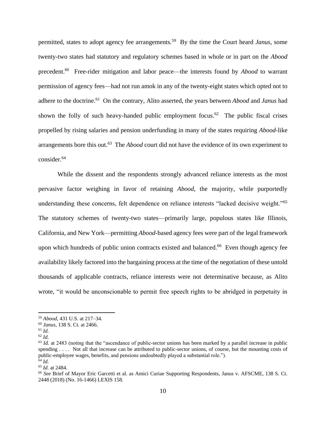permitted, states to adopt agency fee arrangements.<sup>59</sup> By the time the Court heard *Janus*, some twenty-two states had statutory and regulatory schemes based in whole or in part on the *Abood*  precedent.<sup>60</sup> Free-rider mitigation and labor peace—the interests found by *Abood* to warrant permission of agency fees—had not run amok in any of the twenty-eight states which opted not to adhere to the doctrine.<sup>61</sup> On the contrary, Alito asserted, the years between *Abood* and *Janus* had shown the folly of such heavy-handed public employment focus.<sup>62</sup> The public fiscal crises propelled by rising salaries and pension underfunding in many of the states requiring *Abood*-like arrangements bore this out. 63 The *Abood* court did not have the evidence of its own experiment to consider.<sup>64</sup>

While the dissent and the respondents strongly advanced reliance interests as the most pervasive factor weighing in favor of retaining *Abood*, the majority, while purportedly understanding these concerns, felt dependence on reliance interests "lacked decisive weight."<sup>65</sup> The statutory schemes of twenty-two states—primarily large, populous states like Illinois, California, and New York—permitting *Abood*-based agency fees were part of the legal framework upon which hundreds of public union contracts existed and balanced.<sup>66</sup> Even though agency fee availability likely factored into the bargaining process at the time of the negotiation of these untold thousands of applicable contracts, reliance interests were not determinative because, as Alito wrote, "it would be unconscionable to permit free speech rights to be abridged in perpetuity in

<sup>59</sup> *Abood*, 431 U.S. at 217–34.

<sup>60</sup> *Janus*, 138 S. Ct. at 2466.

<sup>61</sup> *Id.*

<sup>62</sup> *Id.* 

<sup>&</sup>lt;sup>63</sup> *Id.* at 2483 (noting that the "ascendance of public-sector unions has been marked by a parallel increase in public spending . . . . Not all that increase can be attributed to public-sector unions, of course, but the mounting costs of public-employee wages, benefits, and pensions undoubtedly played a substantial role."). <sup>64</sup> *Id.*

<sup>65</sup> *Id.* at 2484.

<sup>66</sup> *See* Brief of Mayor Eric Garcetti et al. as Amici Curiae Supporting Respondents, Janus v. AFSCME, 138 S. Ct. 2448 (2018) (No. 16-1466) LEXIS 158.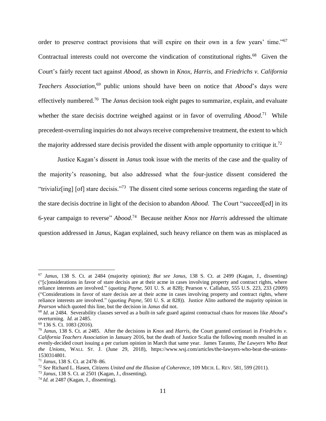order to preserve contract provisions that will expire on their own in a few years' time."<sup>67</sup> Contractual interests could not overcome the vindication of constitutional rights.<sup>68</sup> Given the Court's fairly recent tact against *Abood*, as shown in *Knox, Harris,* and *Friedrichs v. California Teachers Association*, <sup>69</sup> public unions should have been on notice that *Abood*'s days were effectively numbered.<sup>70</sup> The *Janus* decision took eight pages to summarize, explain, and evaluate whether the stare decisis doctrine weighed against or in favor of overruling *Abood*.<sup>71</sup> While precedent-overruling inquiries do not always receive comprehensive treatment, the extent to which the majority addressed stare decisis provided the dissent with ample opportunity to critique it.<sup>72</sup>

Justice Kagan's dissent in *Janus* took issue with the merits of the case and the quality of the majority's reasoning, but also addressed what the four-justice dissent considered the "trivializ[ing] [of] stare decisis."<sup>73</sup> The dissent cited some serious concerns regarding the state of the stare decisis doctrine in light of the decision to abandon *Abood*. The Court "succeed[ed] in its 6-year campaign to reverse" *Abood*. 74 Because neither *Knox* nor *Harris* addressed the ultimate question addressed in *Janus*, Kagan explained, such heavy reliance on them was as misplaced as

<sup>67</sup> *Janus*, 138 S. Ct. at 2484 (majority opinion); *But see Janus*, 138 S. Ct. at 2499 (Kagan, J., dissenting) ("[c]onsiderations in favor of stare decisis are at their acme in cases involving property and contract rights, where reliance interests are involved." (quoting *Payne*, 501 U. S. at 828); Pearson v. Callahan, 555 U.S. 223, 233 (2009) ("Considerations in favor of stare decisis are at their acme in cases involving property and contract rights, where reliance interests are involved." (quoting *Payne*, 501 U. S. at 828)). Justice Alito authored the majority opinion in *Pearson* which quoted this line, but the decision in *Janus* did not.

<sup>68</sup> *Id*. at 2484. Severability clauses served as a built-in safe guard against contractual chaos for reasons like *Abood*'s overturning. *Id.* at 2485.

<sup>69</sup> 136 S. Ct. 1083 (2016).

<sup>70</sup> *Janus*, 138 S. Ct. at 2485. After the decisions in *Knox* and *Harris*, the Court granted certiorari in *Friedrichs v. California Teachers Association* in January 2016, but the death of Justice Scalia the following month resulted in an evenly-decided court issuing a per curium opinion in March that same year. James Taranto, *The Lawyers Who Beat the Unions*, WALL ST. J. (June 29, 2018), https://www.wsj.com/articles/the-lawyers-who-beat-the-unions-1530314801.

<sup>71</sup> *Janus*, 138 S. Ct. at 2478–86.

<sup>72</sup> *See* Richard L. Hasen, *Citizens United and the Illusion of Coherence*, 109 MICH. L. REV. 581, 599 (2011).

<sup>73</sup> *Janus*, 138 S. Ct. at 2501 (Kagan, J., dissenting).

<sup>74</sup> *Id.* at 2487 (Kagan, J., dissenting).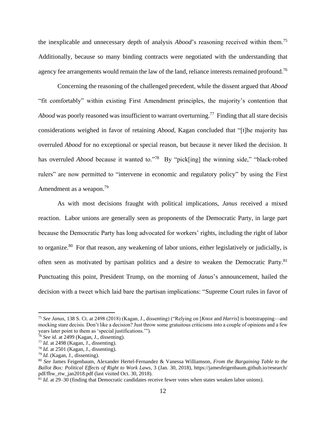the inexplicable and unnecessary depth of analysis *Abood*'s reasoning received within them.<sup>75</sup> Additionally, because so many binding contracts were negotiated with the understanding that agency fee arrangements would remain the law of the land, reliance interests remained profound.<sup>76</sup>

Concerning the reasoning of the challenged precedent, while the dissent argued that *Abood*  "fit comfortably" within existing First Amendment principles, the majority's contention that Abood was poorly reasoned was insufficient to warrant overturning.<sup>77</sup> Finding that all stare decisis considerations weighed in favor of retaining *Abood*, Kagan concluded that "[t]he majority has overruled *Abood* for no exceptional or special reason, but because it never liked the decision. It has overruled *Abood* because it wanted to."<sup>78</sup> By "pick[ing] the winning side," "black-robed rulers" are now permitted to "intervene in economic and regulatory policy" by using the First Amendment as a weapon.<sup>79</sup>

As with most decisions fraught with political implications, *Janus* received a mixed reaction. Labor unions are generally seen as proponents of the Democratic Party, in large part because the Democratic Party has long advocated for workers' rights, including the right of labor to organize.<sup>80</sup> For that reason, any weakening of labor unions, either legislatively or judicially, is often seen as motivated by partisan politics and a desire to weaken the Democratic Party.<sup>81</sup> Punctuating this point, President Trump, on the morning of *Janus*'s announcement, hailed the decision with a tweet which laid bare the partisan implications: "Supreme Court rules in favor of

<sup>75</sup> *See Janus*, 138 S. Ct. at 2498 (2018) (Kagan, J., dissenting) ("Relying on [*Knox* and *Harris*] is bootstrapping—and mocking stare decisis. Don't like a decision? Just throw some gratuitous criticisms into a couple of opinions and a few years later point to them as 'special justifications.'").

<sup>76</sup> *See id.* at 2499 (Kagan, J., dissenting).

<sup>77</sup> *Id.* at 2498 (Kagan, J., dissenting).

<sup>78</sup> *Id.* at 2501 (Kagan, J., dissenting).

<sup>79</sup> *Id.* (Kagan, J., dissenting).

<sup>80</sup> *See* James Feigenbaum, Alexander Hertel-Fernandez & Vanessa Williamson, *From the Bargaining Table to the Ballot Box: Political Effects of Right to Work Laws*, 3 (Jan. 30, 2018), https://jamesfeigenbaum.github.io/research/ pdf/fhw\_rtw\_jan2018.pdf (last visited Oct. 30, 2018).

<sup>81</sup> *Id.* at 29–30 (finding that Democratic candidates receive fewer votes when states weaken labor unions).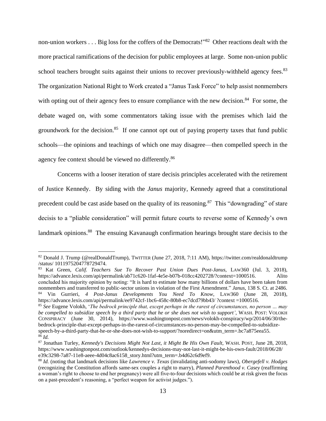non-union workers . . . Big loss for the coffers of the Democrats!"<sup>82</sup> Other reactions dealt with the more practical ramifications of the decision for public employees at large. Some non-union public school teachers brought suits against their unions to recover previously-withheld agency fees.<sup>83</sup> The organization National Right to Work created a "Janus Task Force" to help assist nonmembers with opting out of their agency fees to ensure compliance with the new decision.<sup>84</sup> For some, the debate waged on, with some commentators taking issue with the premises which laid the groundwork for the decision.<sup>85</sup> If one cannot opt out of paying property taxes that fund public schools—the opinions and teachings of which one may disagree—then compelled speech in the agency fee context should be viewed no differently.<sup>86</sup>

Concerns with a looser iteration of stare decisis principles accelerated with the retirement of Justice Kennedy. By siding with the *Janus* majority, Kennedy agreed that a constitutional precedent could be cast aside based on the quality of its reasoning.<sup>87</sup> This "downgrading" of stare decisis to a "pliable consideration" will permit future courts to reverse some of Kennedy's own landmark opinions.<sup>88</sup> The ensuing Kavanaugh confirmation hearings brought stare decisis to the

<sup>82</sup> Donald J. Trump (@realDonaldTrump), TWITTER (June 27, 2018, 7:11 AM), https://twitter.com/realdonaldtrump /status/ 1011975204778729474.

<sup>83</sup> Kat Green, *Calif. Teachers Sue To Recover Past Union Dues Post-Janus*, LAW360 (Jul. 3, 2018), https://advance.lexis.com/api/permalink/ab71c620-1faf-4e5e-b07b-018cc4202728/?context=1000516. Alito concluded his majority opinion by noting: "It is hard to estimate how many billions of dollars have been taken from nonmembers and transferred to public-sector unions in violation of the First Amendment." *Janus*, 138 S. Ct. at 2486. <sup>84</sup> Vin Gurrieri, *4 Post-Janus Developments You Need To Know*, LAW360 (June 28, 2018), https://advance.lexis.com/api/permalink/ee9742cf-1bc6-458c-80b8-ec7dcd79bb43/ ?context =1000516.

<sup>85</sup> *See* Eugene Volokh, '*The bedrock principle that, except perhaps in the rarest of circumstances, no person … may be compelled to subsidize speech by a third party that he or she does not wish to support'*, WASH. POST: VOLOKH CONSPIRACY (June 30, 2014), https://www.washingtonpost.com/news/volokh-conspiracy/wp/2014/06/30/thebedrock-principle-that-except-perhaps-in-the-rarest-of-circumstances-no-person-may-be-compelled-to-subsidizespeech-by-a-third-party-that-he-or-she-does-not-wish-to-support/?noredirect=on&utm\_term=.bc7a875eea55. <sup>86</sup> *Id.* 

<sup>87</sup> Jonathan Turley, *Kennedy's Decisions Might Not Last*, *it Might Be His Own Fault*, WASH. POST, June 28, 2018, https://www.washingtonpost.com/outlook/kennedys-decisions-may-not-last-it-might-be-his-own-fault/2018/06/28/ e39c3298-7a87-11e8-aeee-4d04c8ac6158\_story.html?utm\_term=.b4d62c6d9ef9.

<sup>88</sup> *Id.* (noting that landmark decisions like *Lawrence v. Texas* (invalidating anti-sodomy laws), *Obergefell v. Hodges* (recognizing the Constitution affords same-sex couples a right to marry), *Planned Parenthood v. Casey* (reaffirming a woman's right to choose to end her pregnancy) were all five-to-four decisions which could be at risk given the focus on a past-precedent's reasoning, a "perfect weapon for activist judges.").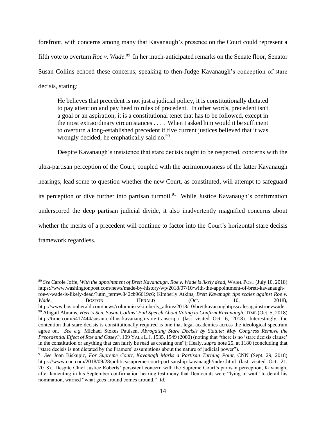forefront, with concerns among many that Kavanaugh's presence on the Court could represent a fifth vote to overturn *Roe v. Wade*. 89 In her much-anticipated remarks on the Senate floor, Senator Susan Collins echoed these concerns, speaking to then-Judge Kavanaugh's conception of stare decisis, stating:

He believes that precedent is not just a judicial policy, it is constitutionally dictated to pay attention and pay heed to rules of precedent. In other words, precedent isn't a goal or an aspiration, it is a constitutional tenet that has to be followed, except in the most extraordinary circumstances . . . . When I asked him would it be sufficient to overturn a long-established precedent if five current justices believed that it was wrongly decided, he emphatically said no. $90$ 

Despite Kavanaugh's insistence that stare decisis ought to be respected, concerns with the ultra-partisan perception of the Court, coupled with the acrimoniousness of the latter Kavanaugh hearings, lead some to question whether the new Court, as constituted, will attempt to safeguard its perception or dive further into partisan turmoil.<sup>91</sup> While Justice Kavanaugh's confirmation underscored the deep partisan judicial divide, it also inadvertently magnified concerns about whether the merits of a precedent will continue to factor into the Court's horizontal stare decisis framework regardless.

in the constitution or anything that can fairly be read as creating one"); Healy, *supra* not[e 25,](#page-4-0) at 1180 (concluding that

<sup>89</sup> *See* Carole Joffe, *With the appointment of Brett Kavanaugh, Roe v. Wade is likely dead*, WASH. POST (July 10, 2018) https://www.washingtonpost.com/news/made-by-history/wp/2018/07/10/with-the-appointment-of-brett-kavanaughroe-v-wade-is-likely-dead/?utm\_term=.842cb96619c6; Kimberly Atkins, *Brett Kavanagh tips scales against Roe v. Wade*, **BOSTON** HERALD (Oct. 10, 2018), http://www.bostonherald.com/news/columnists/kimberly\_atkins/2018/10/brettkavanaughtipsscalesagainstroevwade. <sup>90</sup> Abigail Abrams, *Here's Sen. Susan Collins' Full Speech About Voting to Confirm Kavanaugh*, TIME (Oct. 5, 2018) http://time.com/5417444/susan-collins-kavanaugh-vote-transcript/ (last visited Oct. 6, 2018). Interestingly, the contention that stare decisis is constitutionally required is one that legal academics across the ideological spectrum agree on. *See e.g.* Michael Stokes Paulsen, *Abrogating Stare Decisis by Statute: May Congress Remove the Precedential Effect of Roe and Casey?*, 109 YALE L.J. 1535, 1549 (2000) (noting that "there is no 'stare decisis clause'

<sup>&</sup>quot;stare decisis is not dictated by the Framers' assumptions about the nature of judicial power"). <sup>91</sup> *See* Joan Biskupic, *For Supreme Court, Kavanagh Marks a Partisan Turning Point*, CNN (Sept. 29, 2018) https://www.cnn.com/2018/09/28/politics/supreme-court-partisanship-kavanaugh/index.html (last visited Oct. 21, 2018). Despite Chief Justice Roberts' persistent concern with the Supreme Court's partisan perception, Kavanagh, after lamenting in his September confirmation hearing testimony that Democrats were "lying in wait" to derail his nomination, warned "what goes around comes around." *Id.*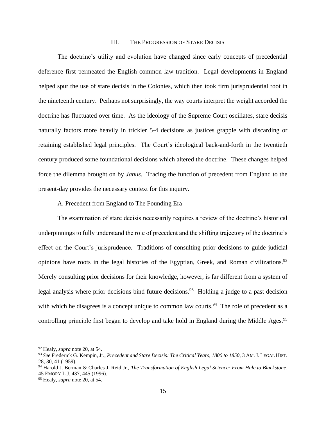#### III. THE PROGRESSION OF STARE DECISIS

The doctrine's utility and evolution have changed since early concepts of precedential deference first permeated the English common law tradition. Legal developments in England helped spur the use of stare decisis in the Colonies, which then took firm jurisprudential root in the nineteenth century. Perhaps not surprisingly, the way courts interpret the weight accorded the doctrine has fluctuated over time. As the ideology of the Supreme Court oscillates, stare decisis naturally factors more heavily in trickier 5-4 decisions as justices grapple with discarding or retaining established legal principles. The Court's ideological back-and-forth in the twentieth century produced some foundational decisions which altered the doctrine. These changes helped force the dilemma brought on by *Janus*. Tracing the function of precedent from England to the present-day provides the necessary context for this inquiry.

<span id="page-14-1"></span>A. Precedent from England to The Founding Era

The examination of stare decisis necessarily requires a review of the doctrine's historical underpinnings to fully understand the role of precedent and the shifting trajectory of the doctrine's effect on the Court's jurisprudence. Traditions of consulting prior decisions to guide judicial opinions have roots in the legal histories of the Egyptian, Greek, and Roman civilizations.<sup>92</sup> Merely consulting prior decisions for their knowledge, however, is far different from a system of legal analysis where prior decisions bind future decisions.<sup>93</sup> Holding a judge to a past decision with which he disagrees is a concept unique to common law courts.<sup>94</sup> The role of precedent as a controlling principle first began to develop and take hold in England during the Middle Ages.<sup>95</sup>

<span id="page-14-0"></span><sup>92</sup> Healy, *supra* note [20,](#page-3-0) at 54.

<sup>93</sup> *See* Frederick G. Kempin, Jr., *Precedent and Stare Decisis: The Critical Years, 1800 to 1850*, 3 AM.J. LEGAL HIST. 28, 30, 41 (1959).

<sup>94</sup> Harold J. Berman & Charles J. Reid Jr., *The Transformation of English Legal Science: From Hale to Blackstone*, 45 EMORY L.J. 437, 445 (1996).

<sup>95</sup> Healy, *supra* note [20,](#page-3-0) at 54.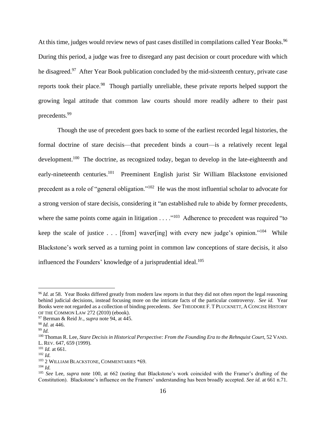At this time, judges would review news of past cases distilled in compilations called Year Books.<sup>96</sup> During this period, a judge was free to disregard any past decision or court procedure with which he disagreed.<sup>97</sup> After Year Book publication concluded by the mid-sixteenth century, private case reports took their place.<sup>98</sup> Though partially unreliable, these private reports helped support the growing legal attitude that common law courts should more readily adhere to their past precedents.<sup>99</sup>

<span id="page-15-0"></span>Though the use of precedent goes back to some of the earliest recorded legal histories, the formal doctrine of stare decisis—that precedent binds a court—is a relatively recent legal development.<sup>100</sup> The doctrine, as recognized today, began to develop in the late-eighteenth and early-nineteenth centuries.<sup>101</sup> Preeminent English jurist Sir William Blackstone envisioned precedent as a role of "general obligation."<sup>102</sup> He was the most influential scholar to advocate for a strong version of stare decisis, considering it "an established rule to abide by former precedents, where the same points come again in litigation . . . ."<sup>103</sup> Adherence to precedent was required "to keep the scale of justice . . . [from] waver[ing] with every new judge's opinion."<sup>104</sup> While Blackstone's work served as a turning point in common law conceptions of stare decisis, it also influenced the Founders' knowledge of a jurisprudential ideal.<sup>105</sup>

<sup>&</sup>lt;sup>96</sup> *Id.* at 58. Year Books differed greatly from modern law reports in that they did not often report the legal reasoning behind judicial decisions, instead focusing more on the intricate facts of the particular controversy. *See id.* Year Books were not regarded as a collection of binding precedents. *See* THEODORE F. T PLUCKNETT, A CONCISE HISTORY OF THE COMMON LAW 272 (2010) (ebook).

<sup>97</sup> Berman & Reid Jr., *supra* not[e 94,](#page-14-0) at 445.

<sup>98</sup> *Id.* at 446.

<sup>99</sup> *Id.*

<sup>100</sup> Thomas R. Lee, *Stare Decisis in Historical Perspective: From the Founding Era to the Rehnquist Court*, 52 VAND. L. REV. 647, 659 (1999).

<sup>101</sup> *Id.* at 661.

<sup>102</sup> *Id.*

<sup>&</sup>lt;sup>103</sup> 2 WILLIAM BLACKSTONE, COMMENTARIES \*69.

<sup>104</sup> *Id.* 

<sup>105</sup> *See* Lee, *supra* note [100,](#page-15-0) at 662 (noting that Blackstone's work coincided with the Framer's drafting of the Constitution). Blackstone's influence on the Framers' understanding has been broadly accepted. *See id.* at 661 n.71.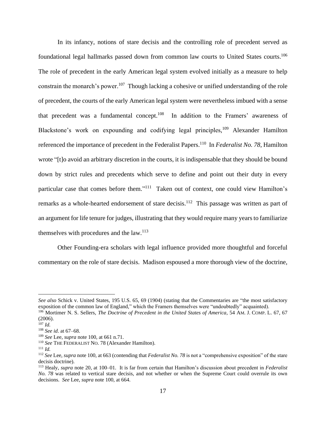In its infancy, notions of stare decisis and the controlling role of precedent served as foundational legal hallmarks passed down from common law courts to United States courts.<sup>106</sup> The role of precedent in the early American legal system evolved initially as a measure to help constrain the monarch's power.<sup>107</sup> Though lacking a cohesive or unified understanding of the role of precedent, the courts of the early American legal system were nevertheless imbued with a sense that precedent was a fundamental concept.<sup>108</sup> In addition to the Framers' awareness of Blackstone's work on expounding and codifying legal principles,<sup>109</sup> Alexander Hamilton referenced the importance of precedent in the Federalist Papers.<sup>110</sup> In *Federalist No. 78*, Hamilton wrote "[t]o avoid an arbitrary discretion in the courts, it is indispensable that they should be bound down by strict rules and precedents which serve to define and point out their duty in every particular case that comes before them."<sup>111</sup> Taken out of context, one could view Hamilton's remarks as a whole-hearted endorsement of stare decisis.<sup>112</sup> This passage was written as part of an argument for life tenure for judges, illustrating that they would require many years to familiarize themselves with procedures and the law. $113$ 

Other Founding-era scholars with legal influence provided more thoughtful and forceful commentary on the role of stare decisis. Madison espoused a more thorough view of the doctrine,

<sup>111</sup> *Id.*

*See also* Schick v. United States, 195 U.S. 65, 69 (1904) (stating that the Commentaries are "the most satisfactory exposition of the common law of England," which the Framers themselves were "undoubtedly" acquainted). <sup>106</sup> Mortimer N. S. Sellers, *The Doctrine of Precedent in the United States of America*, 54 AM. J. COMP. L. 67, 67

<sup>(2006).</sup>

 $^{107}$  *Id.* 

<sup>108</sup> *See id*. at 67–68.

<sup>109</sup> *See* Lee, *supra* not[e 100,](#page-15-0) at 661 n.71.

<sup>110</sup> *See* THE FEDERALIST NO. 78 (Alexander Hamilton).

<sup>112</sup> *See* Lee, *supra* not[e 100,](#page-15-0) at 663 (contending that *Federalist No. 78* is not a "comprehensive exposition" of the stare decisis doctrine).

<sup>113</sup> Healy, *supra* note [20,](#page-3-0) at 100–01. It is far from certain that Hamilton's discussion about precedent in *Federalist No. 78* was related to vertical stare decisis, and not whether or when the Supreme Court could overrule its own decisions. *See* Lee, *supra* note [100,](#page-15-0) at 664.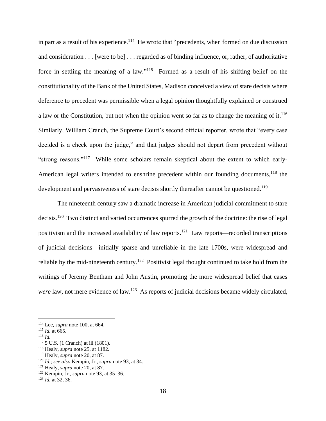in part as a result of his experience.<sup>114</sup> He wrote that "precedents, when formed on due discussion and consideration . . . [were to be] . . . regarded as of binding influence, or, rather, of authoritative force in settling the meaning of a law."<sup>115</sup> Formed as a result of his shifting belief on the constitutionality of the Bank of the United States, Madison conceived a view of stare decisis where deference to precedent was permissible when a legal opinion thoughtfully explained or construed a law or the Constitution, but not when the opinion went so far as to change the meaning of it.<sup>116</sup> Similarly, William Cranch, the Supreme Court's second official reporter, wrote that "every case decided is a check upon the judge," and that judges should not depart from precedent without "strong reasons."<sup>117</sup> While some scholars remain skeptical about the extent to which early-American legal writers intended to enshrine precedent within our founding documents,<sup>118</sup> the development and pervasiveness of stare decisis shortly thereafter cannot be questioned.<sup>119</sup>

The nineteenth century saw a dramatic increase in American judicial commitment to stare decisis.<sup>120</sup> Two distinct and varied occurrences spurred the growth of the doctrine: the rise of legal positivism and the increased availability of law reports.<sup>121</sup> Law reports—recorded transcriptions of judicial decisions—initially sparse and unreliable in the late 1700s, were widespread and reliable by the mid-nineteenth century.<sup>122</sup> Positivist legal thought continued to take hold from the writings of Jeremy Bentham and John Austin, promoting the more widespread belief that cases were law, not mere evidence of law.<sup>123</sup> As reports of judicial decisions became widely circulated,

<sup>114</sup> Lee, *supra* note [100,](#page-15-0) at 664.

<sup>115</sup> *Id.* at 665.

<sup>116</sup> *Id.*

<sup>117</sup> 5 U.S. (1 Cranch) at iii (1801).

<sup>118</sup> Healy, *supra* note [25,](#page-4-0) at 1182.

<sup>119</sup> Healy, *supra* note [20,](#page-3-0) at 87.

<sup>120</sup> *Id.*; *see also* Kempin, Jr., *supra* not[e 93,](#page-14-1) at 34.

<sup>121</sup> Healy, *supra* note [20,](#page-3-0) at 87.

<sup>122</sup> Kempin, Jr., *supra* note [93,](#page-14-1) at 35–36.

<sup>123</sup> *Id.* at 32, 36.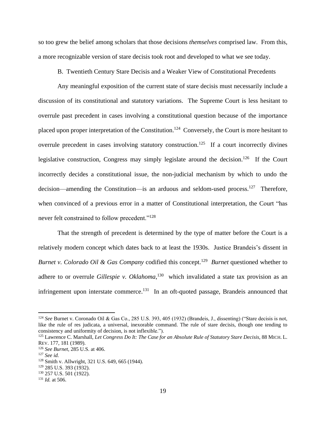so too grew the belief among scholars that those decisions *themselves* comprised law. From this, a more recognizable version of stare decisis took root and developed to what we see today.

B. Twentieth Century Stare Decisis and a Weaker View of Constitutional Precedents

Any meaningful exposition of the current state of stare decisis must necessarily include a discussion of its constitutional and statutory variations. The Supreme Court is less hesitant to overrule past precedent in cases involving a constitutional question because of the importance placed upon proper interpretation of the Constitution.<sup>124</sup> Conversely, the Court is more hesitant to overrule precedent in cases involving statutory construction.<sup>125</sup> If a court incorrectly divines legislative construction, Congress may simply legislate around the decision.<sup>126</sup> If the Court incorrectly decides a constitutional issue, the non-judicial mechanism by which to undo the decision—amending the Constitution—is an arduous and seldom-used process.<sup>127</sup> Therefore, when convinced of a previous error in a matter of Constitutional interpretation, the Court "has never felt constrained to follow precedent."<sup>128</sup>

That the strength of precedent is determined by the type of matter before the Court is a relatively modern concept which dates back to at least the 1930s. Justice Brandeis's dissent in *Burnet v. Colorado Oil & Gas Company* codified this concept.<sup>129</sup> *Burnet* questioned whether to adhere to or overrule *Gillespie v. Oklahoma*, 130 which invalidated a state tax provision as an infringement upon interstate commerce.<sup>131</sup> In an oft-quoted passage, Brandeis announced that

<sup>124</sup> *See* Burnet v. Coronado Oil & Gas Co., 285 U.S. 393, 405 (1932) (Brandeis, J., dissenting) ("Stare decisis is not, like the rule of res judicata, a universal, inexorable command. The rule of stare decisis, though one tending to consistency and uniformity of decision, is not inflexible.").

<sup>125</sup> Lawrence C. Marshall, *Let Congress Do It: The Case for an Absolute Rule of Statutory Stare Decisis*, 88 MICH. L. REV. 177, 181 (1989).

<sup>126</sup> *See Burnet*, 285 U.S. at 406.

<sup>127</sup> *See id.*

<sup>128</sup> Smith v. Allwright, 321 U.S. 649, 665 (1944).

<sup>129</sup> 285 U.S. 393 (1932).

<sup>&</sup>lt;sup>130</sup> 257 U.S. 501 (1922).

<sup>131</sup> *Id.* at 506.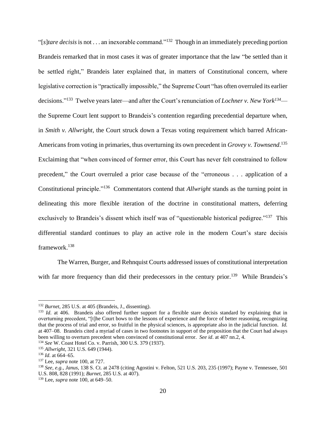"[*s*]*tare decisis*is not . . . an inexorable command."<sup>132</sup> Though in an immediately preceding portion Brandeis remarked that in most cases it was of greater importance that the law "be settled than it be settled right," Brandeis later explained that, in matters of Constitutional concern, where legislative correction is "practically impossible," the Supreme Court "has often overruled its earlier decisions."<sup>133</sup> Twelve years later—and after the Court's renunciation of *Lochner v. New York<sup>134</sup>* the Supreme Court lent support to Brandeis's contention regarding precedential departure when, in *Smith v. Allwright*, the Court struck down a Texas voting requirement which barred African-Americans from voting in primaries, thus overturning its own precedent in *Grovey v. Townsend*. 135 Exclaiming that "when convinced of former error, this Court has never felt constrained to follow precedent," the Court overruled a prior case because of the "erroneous . . . application of a Constitutional principle."<sup>136</sup> Commentators contend that *Allwright* stands as the turning point in delineating this more flexible iteration of the doctrine in constitutional matters, deferring exclusively to Brandeis's dissent which itself was of "questionable historical pedigree."<sup>137</sup> This differential standard continues to play an active role in the modern Court's stare decisis framework.<sup>138</sup>

The Warren, Burger, and Rehnquist Courts addressed issues of constitutional interpretation with far more frequency than did their predecessors in the century prior.<sup>139</sup> While Brandeis's

<sup>132</sup> *Burnet*, 285 U.S. at 405 (Brandeis, J., dissenting).

<sup>&</sup>lt;sup>133</sup> *Id.* at 406. Brandeis also offered further support for a flexible stare decisis standard by explaining that in overturning precedent, "[t]he Court bows to the lessons of experience and the force of better reasoning, recognizing that the process of trial and error, so fruitful in the physical sciences, is appropriate also in the judicial function. *Id.*  at 407–08. Brandeis cited a myriad of cases in two footnotes in support of the proposition that the Court had always been willing to overturn precedent when convinced of constitutional error. *See id*. at 407 nn.2, 4.

<sup>134</sup> *See* W. Coast Hotel Co. v. Parrish, 300 U.S. 379 (1937).

<sup>135</sup> *Allwright*, 321 U.S. 649 (1944).

<sup>136</sup> *Id*. at 664–65.

<sup>137</sup> Lee, *supra* note [100,](#page-15-0) at 727.

<sup>138</sup> *See, e.g.*, *Janus*, 138 S. Ct. at 2478 (citing Agostini v. Felton, 521 U.S. 203, 235 (1997); Payne v. Tennessee, 501 U.S. 808, 828 (1991); *Burnet*, 285 U.S. at 407).

<sup>139</sup> Lee, *supra* note [100,](#page-15-0) at 649–50.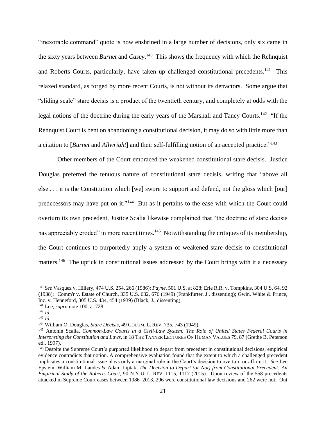"inexorable command" quote is now enshrined in a large number of decisions, only six came in the sixty years between *Burnet* and *Casey*. <sup>140</sup> This shows the frequency with which the Rehnquist and Roberts Courts, particularly, have taken up challenged constitutional precedents.<sup>141</sup> This relaxed standard, as forged by more recent Courts, is not without its detractors. Some argue that "sliding scale" stare decisis is a product of the twentieth century, and completely at odds with the legal notions of the doctrine during the early years of the Marshall and Taney Courts.<sup>142</sup> "If the Rehnquist Court is bent on abandoning a constitutional decision, it may do so with little more than a citation to [*Burnet* and *Allwright*] and their self-fulfilling notion of an accepted practice." 143

Other members of the Court embraced the weakened constitutional stare decisis. Justice Douglas preferred the tenuous nature of constitutional stare decisis, writing that "above all else . . . it is the Constitution which [we] swore to support and defend, not the gloss which [our] predecessors may have put on it."<sup>144</sup> But as it pertains to the ease with which the Court could overturn its own precedent, Justice Scalia likewise complained that "the doctrine of stare decisis has appreciably eroded" in more recent times.<sup>145</sup> Notwithstanding the critiques of its membership, the Court continues to purportedly apply a system of weakened stare decisis to constitutional matters.<sup>146</sup> The uptick in constitutional issues addressed by the Court brings with it a necessary

<sup>140</sup> *See* Vasquez v. Hillery, 474 U.S. 254, 266 (1986); *Payne*, 501 U.S. at 828; Erie R.R. v. Tompkins, 304 U.S. 64, 92 (1938); Comm'r v. Estate of Church, 335 U.S. 632, 676 (1949) (Frankfurter, J., dissenting); Gwin, White & Prince, Inc. v. Henneford, 305 U.S. 434, 454 (1939) (Black, J., dissenting).

<sup>141</sup> Lee, *supra* note [100,](#page-15-0) at 728.

<sup>142</sup> *Id.*

<sup>143</sup> *Id.*

<sup>144</sup> William O. Douglas, *Stare Decisis*, 49 COLUM. L. REV. 735, 743 (1949).

<sup>145</sup> Antonin Scalia, *Common-Law Courts in a Civil-Law System: The Role of United States Federal Courts in Interpreting the Constitution and Laws*, in 18 THE TANNER LECTURES ON HUMAN VALUES 79, 87 (Grethe B. Peterson ed., 1997).

<sup>146</sup> Despite the Supreme Court's purported likelihood to depart from precedent in constitutional decisions, empirical evidence contradicts that notion. A comprehensive evaluation found that the extent to which a challenged precedent implicates a constitutional issue plays only a marginal role in the Court's decision to overturn or affirm it. *See* Lee Epstein, William M. Landes & Adam Liptak, *The Decision to Depart (or Not) from Constitutional Precedent: An Empirical Study of the Roberts Court*, 90 N.Y.U. L. REV. 1115, 1117 (2015). Upon review of the 558 precedents attacked in Supreme Court cases between 1986–2013, 296 were constitutional law decisions and 262 were not. Out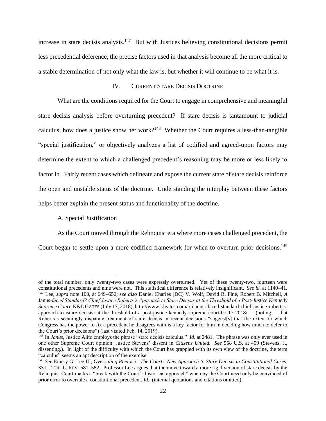increase in stare decisis analysis.<sup>147</sup> But with Justices believing constitutional decisions permit less precedential deference, the precise factors used in that analysis become all the more critical to a stable determination of not only what the law is, but whether it will continue to be what it is.

#### IV. CURRENT STARE DECISIS DOCTRINE

What are the conditions required for the Court to engage in comprehensive and meaningful stare decisis analysis before overturning precedent? If stare decisis is tantamount to judicial calculus, how does a justice show her work?<sup>148</sup> Whether the Court requires a less-than-tangible "special justification," or objectively analyzes a list of codified and agreed-upon factors may determine the extent to which a challenged precedent's reasoning may be more or less likely to factor in. Fairly recent cases which delineate and expose the current state of stare decisis reinforce the open and unstable status of the doctrine. Understanding the interplay between these factors helps better explain the present status and functionality of the doctrine.

### A. Special Justification

<span id="page-21-0"></span>As the Court moved through the Rehnquist era where more cases challenged precedent, the

Court began to settle upon a more codified framework for when to overturn prior decisions.<sup>149</sup>

of the total number, only twenty-two cases were expressly overturned. Yet of these twenty-two, fourteen were constitutional precedents and nine were not. This statistical difference is relatively insignificant. *See id.* at 1140–41. <sup>147</sup> Lee, *supra* note [100,](#page-15-0) at 649–650; *see also* Daniel Charles (DC) V. Wolf, David R. Fine, Robert B. Mitchell, *A*  Janus*-faced Standard? Chief Justice Roberts's Approach to Stare Decisis at the Threshold of a Post-Justice Kennedy Supreme Court*, K&L GATES (July 17, 2018), http://www.klgates.com/a-ijanusi-faced-standard-chief-justice-robertssapproach-to-istare-decisisi-at-the-threshold-of-a-post-justice-kennedy-supreme-court-07-17-2018/ (noting that Roberts's seemingly disparate treatment of stare decisis in recent decisions "suggest[s] that the extent to which Congress has the power to fix a precedent he disagrees with is a key factor for him in deciding how much to defer to the Court's prior decisions") (last visited Feb. 14, 2019).

<sup>&</sup>lt;sup>148</sup> In *Janus*, Justice Alito employs the phrase "stare decisis calculus." *Id.* at 2481. The phrase was only ever used in one other Supreme Court opinion: Justice Stevens' dissent in *Citizens United*. *See* 558 U.S. at 409 (Stevens, J., dissenting.). In light of the difficulty with which the Court has grappled with its own view of the doctrine, the term "calculus" seems an apt description of the exercise.

<sup>149</sup> *See* Emery G. Lee III, *Overruling Rhetoric: The Court's New Approach to Stare Decisis in Constitutional Cases*, 33 U. TOL. L. REV. 581, 582. Professor Lee argues that the move toward a more rigid version of stare decisis by the Rehnquist Court marks a "break with the Court's historical approach" whereby the Court need only be convinced of prior error to overrule a constitutional precedent. *Id.* (internal quotations and citations omitted).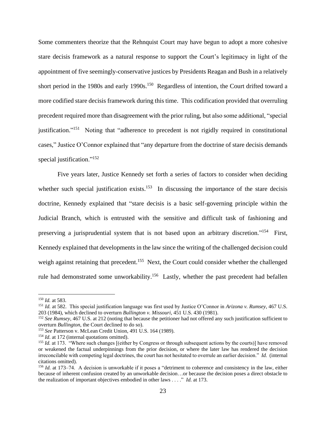Some commenters theorize that the Rehnquist Court may have begun to adopt a more cohesive stare decisis framework as a natural response to support the Court's legitimacy in light of the appointment of five seemingly-conservative justices by Presidents Reagan and Bush in a relatively short period in the 1980s and early 1990s.<sup>150</sup> Regardless of intention, the Court drifted toward a more codified stare decisis framework during this time. This codification provided that overruling precedent required more than disagreement with the prior ruling, but also some additional, "special justification."<sup>151</sup> Noting that "adherence to precedent is not rigidly required in constitutional cases," Justice O'Connor explained that "any departure from the doctrine of stare decisis demands special justification."<sup>152</sup>

Five years later, Justice Kennedy set forth a series of factors to consider when deciding whether such special justification exists.<sup>153</sup> In discussing the importance of the stare decisis doctrine, Kennedy explained that "stare decisis is a basic self-governing principle within the Judicial Branch, which is entrusted with the sensitive and difficult task of fashioning and preserving a jurisprudential system that is not based upon an arbitrary discretion."<sup>154</sup> First, Kennedy explained that developments in the law since the writing of the challenged decision could weigh against retaining that precedent.<sup>155</sup> Next, the Court could consider whether the challenged rule had demonstrated some unworkability.<sup>156</sup> Lastly, whether the past precedent had befallen

<sup>150</sup> *Id.* at 583.

<sup>151</sup> *Id.* at 582. This special justification language was first used by Justice O'Connor in *Arizona v. Rumsey*, 467 U.S. 203 (1984), which declined to overturn *Bullington v. Missouri*, 451 U.S. 430 (1981).

<sup>152</sup> *See Rumsey*, 467 U.S. at 212 (noting that because the petitioner had not offered any such justification sufficient to overturn *Bullington*, the Court declined to do so).

<sup>153</sup> *See* Patterson v. McLean Credit Union, 491 U.S. 164 (1989).

<sup>&</sup>lt;sup>154</sup> *Id.* at 172 (internal quotations omitted).

<sup>&</sup>lt;sup>155</sup> *Id.* at 173. "Where such changes [(either by Congress or through subsequent actions by the courts)] have removed or weakened the factual underpinnings from the prior decision, or where the later law has rendered the decision irreconcilable with competing legal doctrines, the court has not hesitated to overrule an earlier decision." *Id.* (internal citations omitted).

<sup>156</sup> *Id.* at 173–74. A decision is unworkable if it poses a "detriment to coherence and consistency in the law, either because of inherent confusion created by an unworkable decision…or because the decision poses a direct obstacle to the realization of important objectives embodied in other laws . . . ." *Id.* at 173.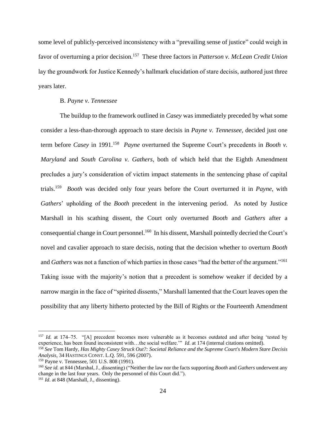some level of publicly-perceived inconsistency with a "prevailing sense of justice" could weigh in favor of overturning a prior decision.<sup>157</sup> These three factors in *Patterson v. McLean Credit Union* lay the groundwork for Justice Kennedy's hallmark elucidation of stare decisis, authored just three years later.

## <span id="page-23-0"></span>B. *Payne v. Tennessee*

The buildup to the framework outlined in *Casey* was immediately preceded by what some consider a less-than-thorough approach to stare decisis in *Payne v. Tennessee*, decided just one term before *Casey* in 1991. 158 *Payne* overturned the Supreme Court's precedents in *Booth v. Maryland* and *South Carolina v. Gathers*, both of which held that the Eighth Amendment precludes a jury's consideration of victim impact statements in the sentencing phase of capital trials.<sup>159</sup> *Booth* was decided only four years before the Court overturned it in *Payne*, with *Gathers*' upholding of the *Booth* precedent in the intervening period. As noted by Justice Marshall in his scathing dissent, the Court only overturned *Booth* and *Gathers* after a consequential change in Court personnel.<sup>160</sup> In his dissent, Marshall pointedly decried the Court's novel and cavalier approach to stare decisis, noting that the decision whether to overturn *Booth*  and *Gathers* was not a function of which parties in those cases "had the better of the argument."<sup>161</sup> Taking issue with the majority's notion that a precedent is somehow weaker if decided by a narrow margin in the face of "spirited dissents," Marshall lamented that the Court leaves open the possibility that any liberty hitherto protected by the Bill of Rights or the Fourteenth Amendment

<sup>&</sup>lt;sup>157</sup> *Id.* at 174–75. "[A] precedent becomes more vulnerable as it becomes outdated and after being 'tested by experience, has been found inconsistent with…the social welfare.'" *Id*. at 174 (internal citations omitted).

<sup>158</sup> *See* Tom Hardy, *Has Mighty Casey Struck Out?: Societal Reliance and the Supreme Court's Modern Stare Decisis Analysis*, 34 HASTINGS CONST. L.Q. 591, 596 (2007).

<sup>159</sup> Payne v. Tennessee, 501 U.S. 808 (1991).

<sup>160</sup> *See id.* at 844 (Marshal, J., dissenting) ("Neither the law nor the facts supporting *Booth* and *Gathers* underwent any change in the last four years. Only the personnel of this Court did."). <sup>161</sup> *Id*. at 848 (Marshall, J., dissenting).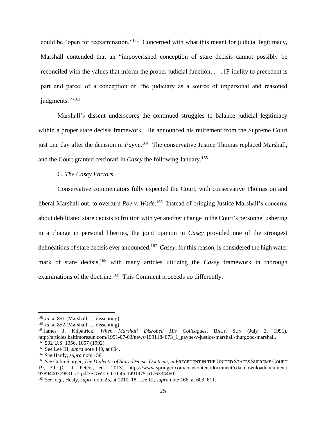could be "open for reexamination."<sup>162</sup> Concerned with what this meant for judicial legitimacy, Marshall contended that an "impoverished conception of stare decisis cannot possibly be reconciled with the values that inform the proper judicial function. . . . [F]idelity to precedent is part and parcel of a conception of 'the judiciary as a source of impersonal and reasoned judgments."<sup>163</sup>

Marshall's dissent underscores the continued struggles to balance judicial legitimacy within a proper stare decisis framework. He announced his retirement from the Supreme Court just one day after the decision in *Payne*. <sup>164</sup> The conservative Justice Thomas replaced Marshall, and the Court granted certiorari in *Casey* the following January. 165

<span id="page-24-0"></span>C. *The Casey Factors*

Conservative commentators fully expected the Court, with conservative Thomas on and liberal Marshall out, to overturn *Roe v. Wade*.<sup>166</sup> Instead of bringing Justice Marshall's concerns about debilitated stare decisis to fruition with yet another change in the Court's personnel ushering in a change in personal liberties, the joint opinion in *Casey* provided one of the strongest delineations of stare decisis ever announced.<sup>167</sup> *Casey,* for this reason, is considered the high water mark of stare decisis,<sup>168</sup> with many articles utilizing the *Casey* framework in thorough examinations of the doctrine.<sup>169</sup> This Comment proceeds no differently.

<span id="page-24-1"></span><sup>162</sup> *Id.* at 851 (Marshall, J., dissenting).

<sup>&</sup>lt;sup>163</sup> *Id.* at 852 (Marshall, J., dissenting).

<sup>164</sup>James J. Kilpatrick, *When Marshall Disrobed His Colleagues*, BALT. SUN (July 3, 1991), http://articles.baltimoresun.com/1991-07-03/news/1991184073\_1\_payne-v-justice-marshall-thurgood-marshall. <sup>165</sup> 502 U.S. 1056, 1057 (1992).

<sup>166</sup> See Lee III, *supra* not[e 149,](#page-21-0) at 604.

<sup>167</sup> *See* Hardy, *supra* not[e 158.](#page-23-0)

<sup>168</sup> *See* Colin Starger, *The Dialectic of Stare Decisis Doctrine*, *in* PRECEDENT IN THE UNITED STATES SUPREME COURT 19, 39 (C. J. Peters, ed., 2013) https://www.springer.com/cda/content/document/cda\_downloaddocument/ 9789400779501-c2.pdf?SGWID=0-0-45-1491975-p176334460.

<sup>169</sup> *See, e.g.*, Healy, *supra* not[e 25,](#page-4-0) at 1210–18; Lee III, *supra* note [166,](#page-24-0) at 603–611.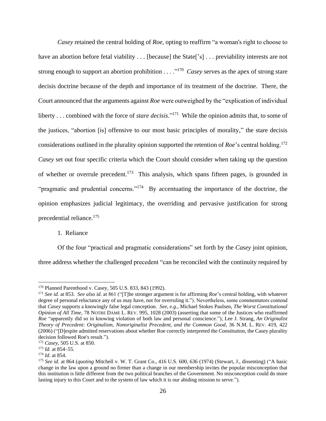*Casey* retained the central holding of *Roe*, opting to reaffirm "a woman's right to choose to have an abortion before fetal viability . . . [because] the State['s] . . . previability interests are not strong enough to support an abortion prohibition . . . ."<sup>170</sup> *Casey* serves as the apex of strong stare decisis doctrine because of the depth and importance of its treatment of the doctrine. There, the Court announced that the arguments against *Roe* were outweighed by the "explication of individual liberty . . . combined with the force of *stare decisis*."<sup>171</sup> While the opinion admits that, to some of the justices, "abortion [is] offensive to our most basic principles of morality," the stare decisis considerations outlined in the plurality opinion supported the retention of *Roe*'s central holding. 172 *Casey* set out four specific criteria which the Court should consider when taking up the question of whether or overrule precedent.<sup>173</sup> This analysis, which spans fifteen pages, is grounded in "pragmatic and prudential concerns."<sup>174</sup> By accentuating the importance of the doctrine, the opinion emphasizes judicial legitimacy, the overriding and pervasive justification for strong precedential reliance. 175

1. Reliance

Of the four "practical and pragmatic considerations" set forth by the *Casey* joint opinion, three address whether the challenged precedent "can be reconciled with the continuity required by

<sup>170</sup> Planned Parenthood v. Casey, 505 U.S. 833, 843 (1992).

<sup>171</sup> *See id.* at 853*. See also id*. at 861 ("[T]he stronger argument is for affirming *Roe*'s central holding, with whatever degree of personal reluctance any of us may have, not for overruling it."). Nevertheless, some commentators contend that *Casey* supports a knowingly false legal conception. *See, e.g.*, Michael Stokes Paulsen, *The Worst Constitutional Opinion of All Time*, 78 NOTRE DAME L. REV. 995, 1028 (2003) (asserting that some of the Justices who reaffirmed *Roe* "apparently did so in knowing violation of both law and personal conscience."); Lee J. Strang, *An Originalist Theory of Precedent: Originalism, Nonoriginalist Precedent, and the Common Good*, 36 N.M. L. REV. 419, 422 (2006) ("[D]espite admitted reservations about whether Roe correctly interpreted the Constitution, the Casey plurality decision followed Roe's result.").

<sup>172</sup> *Casey*, 505 U.S. at 850.

<sup>173</sup> *Id.* at 854–55.

<sup>174</sup> *Id*. at 854.

<sup>175</sup> *See id.* at 864 (*quoting* Mitchell v. W. T. Grant Co., 416 U.S. 600, 636 (1974) (Stewart, J., dissenting) ("A basic change in the law upon a ground no firmer than a change in our membership invites the popular misconception that this institution is little different from the two political branches of the Government. No misconception could do more lasting injury to this Court and to the system of law which it is our abiding mission to serve.").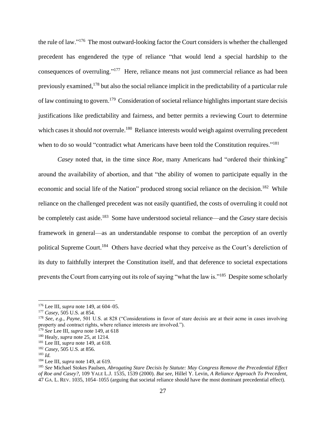the rule of law."<sup>176</sup> The most outward-looking factor the Court considers is whether the challenged precedent has engendered the type of reliance "that would lend a special hardship to the consequences of overruling."<sup>177</sup> Here, reliance means not just commercial reliance as had been previously examined,<sup>178</sup> but also the social reliance implicit in the predictability of a particular rule of law continuing to govern.<sup>179</sup> Consideration of societal reliance highlights important stare decisis justifications like predictability and fairness, and better permits a reviewing Court to determine which cases it should *not* overrule.<sup>180</sup> Reliance interests would weigh against overruling precedent when to do so would "contradict what Americans have been told the Constitution requires."<sup>181</sup>

*Casey* noted that, in the time since *Roe*, many Americans had "ordered their thinking" around the availability of abortion, and that "the ability of women to participate equally in the economic and social life of the Nation" produced strong social reliance on the decision.<sup>182</sup> While reliance on the challenged precedent was not easily quantified, the costs of overruling it could not be completely cast aside.<sup>183</sup> Some have understood societal reliance—and the *Casey* stare decisis framework in general—as an understandable response to combat the perception of an overtly political Supreme Court.<sup>184</sup> Others have decried what they perceive as the Court's dereliction of its duty to faithfully interpret the Constitution itself, and that deference to societal expectations prevents the Court from carrying out its role of saying "what the law is."<sup>185</sup> Despite some scholarly

<span id="page-26-0"></span><sup>176</sup> Lee III, *supra* note [149,](#page-21-0) at 604–05.

<sup>177</sup> *Casey*, 505 U.S. at 854.

<sup>178</sup> *See, e.g*., *Payne*, 501 U.S. at 828 ("Considerations in favor of stare decisis are at their acme in cases involving property and contract rights, where reliance interests are involved.").

<sup>179</sup> *See* Lee III, *supra* note [149,](#page-21-0) at 618

<sup>180</sup> Healy, *supra* note [25,](#page-4-0) at 1214.

<sup>181</sup> Lee III, *supra* note [149,](#page-21-0) at 618.

<sup>182</sup> *Casey*, 505 U.S. at 856.

 $183$  *Id.* 

<sup>184</sup> Lee III, *supra* note [149,](#page-21-0) at 619.

<sup>185</sup> *See* Michael Stokes Paulsen, *Abrogating Stare Decisis by Statute: May Congress Remove the Precedential Effect of Roe and Casey?*, 109 YALE L.J. 1535, 1539 (2000). *But see*, Hillel Y. Levin, *A Reliance Approach To Precedent*, 47 GA. L. REV. 1035, 1054–1055 (arguing that societal reliance should have the most dominant precedential effect).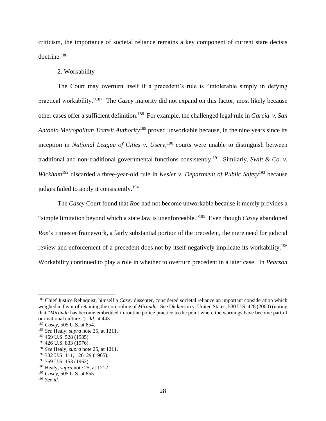criticism, the importance of societal reliance remains a key component of current stare decisis doctrine. 186

### 2. Workability

The Court may overturn itself if a precedent's rule is "intolerable simply in defying practical workability."<sup>187</sup> The *Casey* majority did not expand on this factor, most likely because other cases offer a sufficient definition. 188 For example, the challenged legal rule in *Garcia v. San Antonio Metropolitan Transit Authority*<sup>189</sup> proved unworkable because, in the nine years since its inception in *National League of Cities v. Usery*, <sup>190</sup> courts were unable to distinguish between traditional and non-traditional governmental functions consistently. <sup>191</sup> Similarly, *Swift & Co. v.*  Wickham<sup>192</sup> discarded a three-year-old rule in *Kesler v. Department of Public Safety*<sup>193</sup> because judges failed to apply it consistently.<sup>194</sup>

The *Casey* Court found that *Roe* had not become unworkable because it merely provides a "simple limitation beyond which a state law is unenforceable."<sup>195</sup> Even though *Casey* abandoned *Roe*'s trimester framework, a fairly substantial portion of the precedent, the mere need for judicial review and enforcement of a precedent does not by itself negatively implicate its workability.<sup>196</sup> Workability continued to play a role in whether to overturn precedent in a later case. In *Pearson* 

<sup>186</sup> Chief Justice Rehnquist, himself a *Casey* dissenter, considered societal reliance an important consideration which weighed in favor of retaining the core ruling of *Miranda*. See Dickerson v. United States, 530 U.S. 428 (2000) (noting that "*Miranda* has become embedded in routine police practice to the point where the warnings have become part of our national culture."). *Id*. at 443.

<sup>187</sup> *Casey*, 505 U.S. at 854.

<sup>188</sup> *See* Healy, *supra* not[e 25,](#page-4-0) at 1211.

<sup>&</sup>lt;sup>189</sup> 469 U.S. 528 (1985).

<sup>190</sup> 426 U.S. 833 (1976).

<sup>191</sup> *See* Healy, *supra* not[e 25,](#page-4-0) at 1211.

<sup>192</sup> 382 U.S. 111, 126–29 (1965).

<sup>193</sup> 369 U.S. 153 (1962).

<sup>194</sup> Healy, *supra* note [25,](#page-4-0) at 1212

<sup>195</sup> *Casey*, 505 U.S. at 855.

<sup>196</sup> *See id.*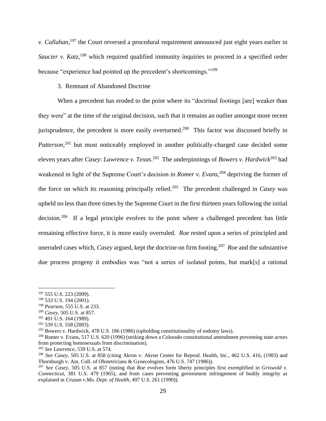*v. Callahan*, <sup>197</sup> the Court reversed a procedural requirement announced just eight years earlier in Saucier v. Katz,<sup>198</sup> which required qualified immunity inquiries to proceed in a specified order because "experience had pointed up the precedent's shortcomings."<sup>199</sup>

## 3. Remnant of Abandoned Doctrine

When a precedent has eroded to the point where its "doctrinal footings [are] weaker than they were" at the time of the original decision, such that it remains an outlier amongst more recent jurisprudence, the precedent is more easily overturned.<sup>200</sup> This factor was discussed briefly in Patterson,<sup>201</sup> but most noticeably employed in another politically-charged case decided some eleven years after *Casey*: *Lawrence v. Texas*. 202 The underpinnings of *Bowers v. Hardwick*<sup>203</sup> had weakened in light of the Supreme Court's decision in *Romer v. Evans*, <sup>204</sup> depriving the former of the force on which its reasoning principally relied.<sup>205</sup> The precedent challenged in *Casey* was upheld no less than three times by the Supreme Court in the first thirteen years following the initial decision.<sup>206</sup> If a legal principle evolves to the point where a challenged precedent has little remaining effective force, it is more easily overruled. *Roe* rested upon a series of principled and uneroded cases which, *Casey* argued, kept the doctrine on firm footing. 207 *Roe* and the substantive due process progeny it embodies was "not a series of isolated points, but mark[s] a rational

<sup>&</sup>lt;sup>197</sup> 555 U.S. 223 (2009).

<sup>198</sup> 533 U.S. 194 (2001).

<sup>199</sup> *Pearson*, 555 U.S. at 233.

<sup>200</sup> *Casey*, 505 U.S. at 857.

 $201$  491 U.S. 164 (1989).

<sup>202</sup> 539 U.S. 558 (2003).

<sup>203</sup> Bowers v. Hardwick, 478 U.S. 186 (1986) (upholding constitutionality of sodomy laws).

<sup>204</sup> Romer v. Evans, 517 U.S. 620 (1996) (striking down a Colorado constitutional amendment preventing state actors from protecting homosexuals from discrimination).

<sup>205</sup> *See Lawrence*, 539 U.S. at 574.

<sup>206</sup> *See Casey*, 505 U.S. at 858 (citing Akron v. Akron Center for Reprod. Health, Inc., 462 U.S. 416, (1983) and Thornburgh v. Am. Coll. of Obstetricians & Gynecologists, 476 U.S. 747 (1986)).

<sup>207</sup> *See Casey*, 505 U.S. at 857 (noting that *Roe* evolves form liberty principles first exemplified in *Griswold v. Connecticut*, 381 U.S. 479 (1965), and from cases preventing government infringement of bodily integrity as explained in *Cruzan v.Mo. Dept. of Health*, 497 U.S. 261 (1990)).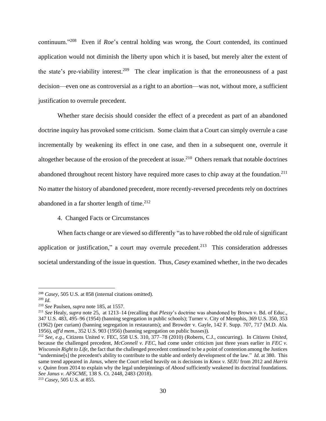continuum."<sup>208</sup> Even if *Roe*'s central holding was wrong, the Court contended, its continued application would not diminish the liberty upon which it is based, but merely alter the extent of the state's pre-viability interest.<sup>209</sup> The clear implication is that the erroneousness of a past decision—even one as controversial as a right to an abortion—was not, without more, a sufficient justification to overrule precedent.

Whether stare decisis should consider the effect of a precedent as part of an abandoned doctrine inquiry has provoked some criticism. Some claim that a Court can simply overrule a case incrementally by weakening its effect in one case, and then in a subsequent one, overrule it altogether because of the erosion of the precedent at issue.<sup>210</sup> Others remark that notable doctrines abandoned throughout recent history have required more cases to chip away at the foundation.<sup>211</sup> No matter the history of abandoned precedent, more recently-reversed precedents rely on doctrines abandoned in a far shorter length of time. $212$ 

## 4. Changed Facts or Circumstances

When facts change or are viewed so differently "as to have robbed the old rule of significant application or justification," a court may overrule precedent.<sup>213</sup> This consideration addresses societal understanding of the issue in question. Thus, *Casey* examined whether, in the two decades

<sup>208</sup> *Casey*, 505 U.S. at 858 (internal citations omitted).

<sup>209</sup> *Id.*

<sup>210</sup> *See* Paulsen, *supra* not[e 185,](#page-26-0) at 1557.

<sup>211</sup> *See* Healy, *supra* note [25,](#page-4-0) at 1213–14 (recalling that *Plessy*'s doctrine was abandoned by Brown v. Bd. of Educ., 347 U.S. 483, 495–96 (1954) (banning segregation in public schools); Turner v. City of Memphis, 369 U.S. 350, 353 (1962) (per curiam) (banning segregation in restaurants); and Browder v. Gayle, 142 F. Supp. 707, 717 (M.D. Ala. 1956), *aff'd mem*., 352 U.S. 903 (1956) (banning segregation on public busses)).

<sup>212</sup> *See, e.g.*, Citizens United v. FEC, 558 U.S. 310, 377–78 (2010) (Roberts, C.J., concurring). In *Citizens United*, because the challenged precedent, *McConnell v. FEC*, had come under criticism just three years earlier in *FEC v. Wisconsin Right to Life*, the fact that the challenged precedent continued to be a point of contention among the Justices "undermine[s] the precedent's ability to contribute to the stable and orderly development of the law." *Id.* at 380. This same trend appeared in *Janus*, where the Court relied heavily on is decisions in *Knox v. SEIU* from 2012 and *Harris v. Quinn* from 2014 to explain why the legal underpinnings of *Abood* sufficiently weakened its doctrinal foundations. *See Janus v. AFSCME*, 138 S. Ct. 2448, 2483 (2018).

<sup>213</sup> *Casey*, 505 U.S. at 855.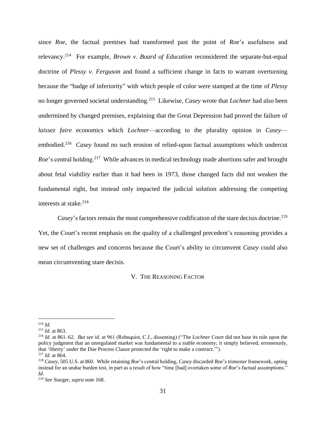since *Roe*, the factual premises had transformed past the point of *Roe*'s usefulness and relevancy.<sup>214</sup> For example, *Brown v. Board of Education* reconsidered the separate-but-equal doctrine of *Plessy v. Ferguson* and found a sufficient change in facts to warrant overturning because the "badge of inferiority" with which people of color were stamped at the time of *Plessy*  no longer governed societal understanding.<sup>215</sup> Likewise, *Casey* wrote that *Lochner* had also been undermined by changed premises, explaining that the Great Depression had proved the failure of *laissez faire* economics which *Lochner*—according to the plurality opinion in *Casey* embodied.<sup>216</sup> Casey found no such erosion of relied-upon factual assumptions which undercut Roe's central holding.<sup>217</sup> While advances in medical technology made abortions safer and brought about fetal viability earlier than it had been in 1973, those changed facts did not weaken the fundamental right, but instead only impacted the judicial solution addressing the competing interests at stake. 218

Casey's factors remain the most comprehensive codification of the stare decisis doctrine.<sup>219</sup> Yet, the Court's recent emphasis on the quality of a challenged precedent's reasoning provides a new set of challenges and concerns because the Court's ability to circumvent *Casey* could also mean circumventing stare decisis.

V. THE REASONING FACTOR

 $^{214}$  *Id.* 

<sup>215</sup> *Id.* at 863.

<sup>216</sup> *Id.* at 861–62. *But see id.* at 961 (Rehnquist, C.J., dissenting) ("The *Lochner* Court did not base its rule upon the policy judgment that an unregulated market was fundamental to a stable economy; it simply believed, erroneously, that 'liberty' under the Due Process Clause protected the 'right to make a contract.'").

<sup>217</sup> *Id.* at 864.

<sup>218</sup> *Casey*, 505 U.S. at 860. While retaining *Roe*'s central holding, *Casey* discarded *Roe*'s trimester framework, opting instead for an undue burden test, in part as a result of how "time [had] overtaken some of *Roe*'s factual assumptions." *Id*.

<sup>219</sup> *See* Starger, *supra* not[e 168.](#page-24-1)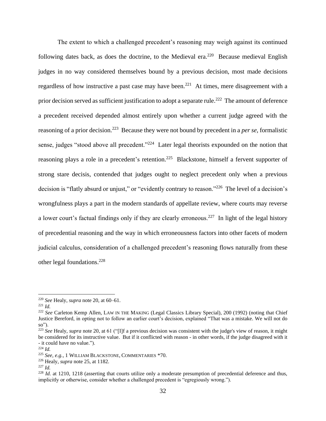The extent to which a challenged precedent's reasoning may weigh against its continued following dates back, as does the doctrine, to the Medieval era.<sup>220</sup> Because medieval English judges in no way considered themselves bound by a previous decision, most made decisions regardless of how instructive a past case may have been.<sup>221</sup> At times, mere disagreement with a prior decision served as sufficient justification to adopt a separate rule.<sup>222</sup> The amount of deference a precedent received depended almost entirely upon whether a current judge agreed with the reasoning of a prior decision.<sup>223</sup> Because they were not bound by precedent in a *per se*, formalistic sense, judges "stood above all precedent."<sup>224</sup> Later legal theorists expounded on the notion that reasoning plays a role in a precedent's retention.<sup>225</sup> Blackstone, himself a fervent supporter of strong stare decisis, contended that judges ought to neglect precedent only when a previous decision is "flatly absurd or unjust," or "evidently contrary to reason."<sup>226</sup> The level of a decision's wrongfulness plays a part in the modern standards of appellate review, where courts may reverse a lower court's factual findings only if they are clearly erroneous.<sup>227</sup> In light of the legal history of precedential reasoning and the way in which erroneousness factors into other facets of modern judicial calculus, consideration of a challenged precedent's reasoning flows naturally from these other legal foundations.<sup>228</sup>

<sup>220</sup> *See* Healy, *supra* not[e 20,](#page-3-0) at 60–61.

 $^{221}$  *Id.* 

<sup>&</sup>lt;sup>222</sup> See Carleton Kemp Allen, LAW IN THE MAKING (Legal Classics Library Special), 200 (1992) (noting that Chief Justice Bereford, in opting not to follow an earlier court's decision, explained "That was a mistake. We will not do so").

<sup>&</sup>lt;sup>223</sup> See Healy, *supra* note [20,](#page-3-0) at 61 ("[I]f a previous decision was consistent with the judge's view of reason, it might be considered for its instructive value. But if it conflicted with reason - in other words, if the judge disagreed with it - it could have no value.").

<sup>224</sup> *Id.*

<sup>225</sup> *See, e.g.*, 1 WILLIAM BLACKSTONE, COMMENTARIES \*70.

<sup>226</sup> Healy, *supra* note [25,](#page-4-0) at 1182.

<sup>227</sup> *Id.*

<sup>&</sup>lt;sup>228</sup> *Id.* at 1210, 1218 (asserting that courts utilize only a moderate presumption of precedential deference and thus, implicitly or otherwise, consider whether a challenged precedent is "egregiously wrong.").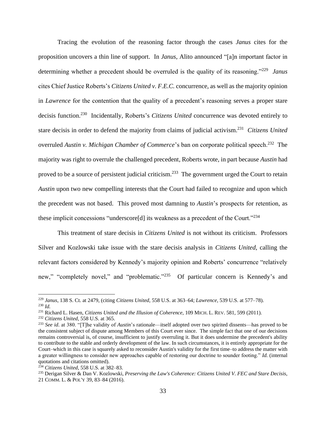Tracing the evolution of the reasoning factor through the cases *Janus* cites for the proposition uncovers a thin line of support. In *Janus*, Alito announced "[a]n important factor in determining whether a precedent should be overruled is the quality of its reasoning."<sup>229</sup> *Janus*  cites Chief Justice Roberts's *Citizens United v. F.E.C.* concurrence, as well as the majority opinion in *Lawrence* for the contention that the quality of a precedent's reasoning serves a proper stare decisis function. 230 Incidentally, Roberts's *Citizens United* concurrence was devoted entirely to stare decisis in order to defend the majority from claims of judicial activism. <sup>231</sup> *Citizens United*  overruled *Austin v. Michigan Chamber of Commerce*'s ban on corporate political speech.<sup>232</sup> The majority was right to overrule the challenged precedent, Roberts wrote, in part because *Austin* had proved to be a source of persistent judicial criticism.<sup>233</sup> The government urged the Court to retain *Austin* upon two new compelling interests that the Court had failed to recognize and upon which the precedent was not based. This proved most damning to *Austin*'s prospects for retention, as these implicit concessions "underscore[d] its weakness as a precedent of the Court."<sup>234</sup>

This treatment of stare decisis in *Citizens United* is not without its criticism. Professors Silver and Kozlowski take issue with the stare decisis analysis in *Citizens United*, calling the relevant factors considered by Kennedy's majority opinion and Roberts' concurrence "relatively new," "completely novel," and "problematic."<sup>235</sup> Of particular concern is Kennedy's and

<span id="page-32-0"></span><sup>229</sup> *Janus*, 138 S. Ct. at 2479, (citing *Citizens United*, 558 U.S. at 363–64; *Lawrence*, 539 U.S. at 577–78). <sup>230</sup> *Id.*

<sup>231</sup> Richard L. Hasen, *Citizens United and the Illusion of Coherence*, 109 MICH. L. REV. 581, 599 (2011).

<sup>232</sup> *Citizens United*, 558 U.S. at 365.

<sup>233</sup> *See id*. at 380. "[T]he validity of *Austin*'s rationale—itself adopted over two spirited dissents—has proved to be the consistent subject of dispute among Members of this Court ever since. The simple fact that one of our decisions remains controversial is, of course, insufficient to justify overruling it. But it does undermine the precedent's ability to contribute to the stable and orderly development of the law. In such circumstances, it is entirely appropriate for the Court–which in this case is squarely asked to reconsider Austin's validity for the first time–to address the matter with a greater willingness to consider new approaches capable of restoring our doctrine to sounder footing." *Id.* (internal quotations and citations omitted).

<sup>234</sup> *Citizens United*, 558 U.S. at 382–83.

<sup>235</sup> Derigan Silver & Dan V. Kozlowski, *Preserving the Law's Coherence: Citizens United V. FEC and Stare Decisis*, 21 COMM. L. & POL'Y 39, 83–84 (2016).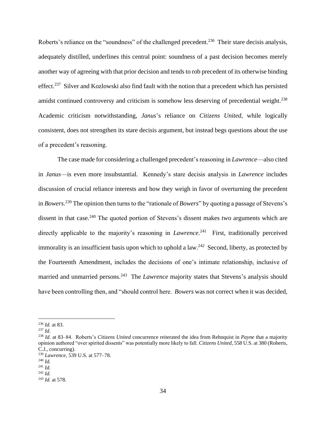Roberts's reliance on the "soundness" of the challenged precedent.<sup>236</sup> Their stare decisis analysis, adequately distilled, underlines this central point: soundness of a past decision becomes merely another way of agreeing with that prior decision and tends to rob precedent of its otherwise binding effect.<sup>237</sup> Silver and Kozlowski also find fault with the notion that a precedent which has persisted amidst continued controversy and criticism is somehow less deserving of precedential weight.<sup>238</sup> Academic criticism notwithstanding, *Janus*'s reliance on *Citizens United*, while logically consistent, does not strengthen its stare decisis argument, but instead begs questions about the use of a precedent's reasoning.

The case made for considering a challenged precedent's reasoning in *Lawrence*—also cited in *Janus*—is even more insubstantial. Kennedy's stare decisis analysis in *Lawrence* includes discussion of crucial reliance interests and how they weigh in favor of overturning the precedent in *Bowers*. <sup>239</sup> The opinion then turns to the "rationale of *Bowers*" by quoting a passage of Stevens's dissent in that case.<sup>240</sup> The quoted portion of Stevens's dissent makes two arguments which are directly applicable to the majority's reasoning in *Lawrence*. <sup>241</sup> First, traditionally perceived immorality is an insufficient basis upon which to uphold a  $law.^{242}$  Second, liberty, as protected by the Fourteenth Amendment, includes the decisions of one's intimate relationship, inclusive of married and unmarried persons.<sup>243</sup> The *Lawrence* majority states that Stevens's analysis should have been controlling then, and "should control here. *Bowers* was not correct when it was decided,

<sup>236</sup> *Id.* at 83.

<sup>237</sup> *Id.* 

<sup>238</sup> *Id.* at 83–84. Roberts's *Citizens United* concurrence reiterated the idea from Rehnquist in *Payne* that a majority opinion authored "over spirited dissents" was potentially more likely to fall. *Citizens United*, 558 U.S. at 380 (Roberts, C.J., concurring).

<sup>239</sup> *Lawrence*, 539 U.S. at 577–78.

<sup>240</sup> *Id.*

<sup>241</sup> *Id.* 

<sup>242</sup> *Id.*

<sup>243</sup> *Id.* at 578.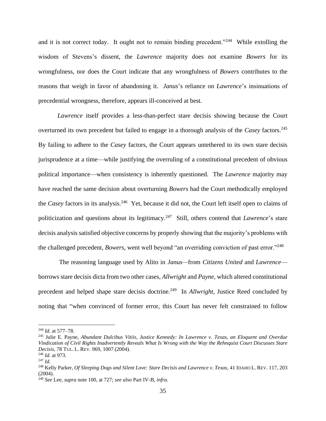and it is not correct today. It ought not to remain binding precedent."<sup>244</sup> While extolling the wisdom of Stevens's dissent, the *Lawrence* majority does not examine *Bowers* for its wrongfulness, nor does the Court indicate that any wrongfulness of *Bowers* contributes to the reasons that weigh in favor of abandoning it. *Janus*'s reliance on *Lawrence*'s insinuations of precedential wrongness, therefore, appears ill-conceived at best.

*Lawrence* itself provides a less-than-perfect stare decisis showing because the Court overturned its own precedent but failed to engage in a thorough analysis of the *Casey* factors.<sup>245</sup> By failing to adhere to the *Casey* factors, the Court appears untethered to its own stare decisis jurisprudence at a time—while justifying the overruling of a constitutional precedent of obvious political importance—when consistency is inherently questioned. The *Lawrence* majority may have reached the same decision about overturning *Bowers* had the Court methodically employed the *Casey* factors in its analysis.<sup>246</sup> Yet, because it did not, the Court left itself open to claims of politicization and questions about its legitimacy. <sup>247</sup> Still, others contend that *Lawrence*'s stare decisis analysis satisfied objective concerns by properly showing that the majority's problems with the challenged precedent, *Bowers*, went well beyond "an overriding conviction of past error."<sup>248</sup>

<span id="page-34-0"></span>The reasoning language used by Alito in *Janus—*from *Citizens United* and *Lawrence* borrows stare decisis dicta from two other cases, *Allwright* and *Payne*, which altered constitutional precedent and helped shape stare decisis doctrine. <sup>249</sup> In *Allwright*, Justice Reed concluded by noting that "when convinced of former error, this Court has never felt constrained to follow

<sup>244</sup> *Id.* at 577–78.

<sup>245</sup> Julie E. Payne, *Abundant Dulcibus Vitiis, Justice Kennedy: In Lawrence v. Texas, an Eloquent and Overdue Vindication of Civil Rights Inadvertently Reveals What Is Wrong with the Way the Rehnquist Court Discusses Stare Decisis*, 78 TUL. L. REV. 969, 1007 (2004).

<sup>246</sup> *Id.* at 973.

<sup>247</sup> *Id.* 

<sup>248</sup> Kelly Parker, *Of Sleeping Dogs and Silent Love: Stare Decisis and Lawrence v. Texas*, 41 IDAHO L. REV. 117, 203 (2004).

<sup>249</sup> *See* Lee, *supra* not[e 100,](#page-15-0) at 727; *see also* Part IV-B, *infra*.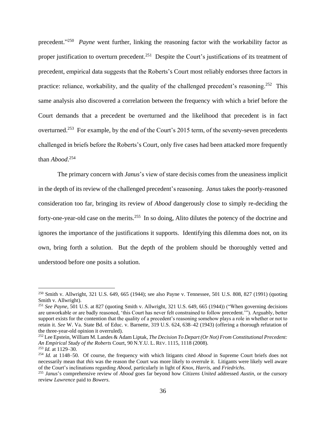precedent."<sup>250</sup> Payne went further, linking the reasoning factor with the workability factor as proper justification to overturn precedent.<sup>251</sup> Despite the Court's justifications of its treatment of precedent, empirical data suggests that the Roberts's Court most reliably endorses three factors in practice: reliance, workability, and the quality of the challenged precedent's reasoning.<sup>252</sup> This same analysis also discovered a correlation between the frequency with which a brief before the Court demands that a precedent be overturned and the likelihood that precedent is in fact overturned.<sup>253</sup> For example, by the end of the Court's 2015 term, of the seventy-seven precedents challenged in briefs before the Roberts's Court, only five cases had been attacked more frequently than *Abood*. 254

The primary concern with *Janus*'s view of stare decisis comes from the uneasiness implicit in the depth of its review of the challenged precedent's reasoning. *Janus* takes the poorly-reasoned consideration too far, bringing its review of *Abood* dangerously close to simply re-deciding the forty-one-year-old case on the merits.<sup>255</sup> In so doing, Alito dilutes the potency of the doctrine and ignores the importance of the justifications it supports. Identifying this dilemma does not, on its own, bring forth a solution. But the depth of the problem should be thoroughly vetted and understood before one posits a solution.

<sup>250</sup> Smith v. Allwright, 321 U.S. 649, 665 (1944); see also Payne v. Tennessee, 501 U.S. 808, 827 (1991) (quoting Smith v. Allwright).

<sup>251</sup> *See Payne*, 501 U.S. at 827 (quoting Smith v. Allwright, 321 U.S. 649, 665 (1944)) ("When governing decisions are unworkable or are badly reasoned, 'this Court has never felt constrained to follow precedent.'"). Arguably, better support exists for the contention that the quality of a precedent's reasoning somehow plays a role in whether or not to retain it. *See* W. Va. State Bd. of Educ. v. Barnette, 319 U.S. 624, 638–42 (1943) (offering a thorough refutation of the three-year-old opinion it overruled).

<sup>252</sup> Lee Epstein, William M. Landes & Adam Liptak, *The Decision To Depart (Or Not) From Constitutional Precedent: An Empirical Study of the Roberts* Court, 90 N.Y.U. L. REV. 1115, 1118 (2008).

<sup>253</sup> *Id.* at 1129–30.

<sup>254</sup> *Id.* at 1148–50. Of course, the frequency with which litigants cited *Abood* in Supreme Court briefs does not necessarily mean that *this* was the reason the Court was more likely to overrule it. Litigants were likely well aware of the Court's inclinations regarding *Abood*, particularly in light of *Knox*, *Harris*, and *Friedrichs*.

<sup>255</sup> *Janus*'s comprehensive review of *Abood* goes far beyond how *Citizens United* addressed *Austin*, or the cursory review *Lawrence* paid to *Bowers*.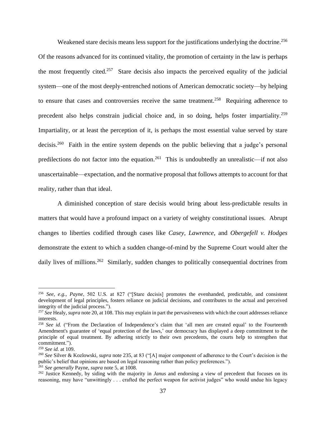Weakened stare decisis means less support for the justifications underlying the doctrine.<sup>256</sup> Of the reasons advanced for its continued vitality, the promotion of certainty in the law is perhaps the most frequently cited.<sup>257</sup> Stare decisis also impacts the perceived equality of the judicial system—one of the most deeply-entrenched notions of American democratic society—by helping to ensure that cases and controversies receive the same treatment.<sup>258</sup> Requiring adherence to precedent also helps constrain judicial choice and, in so doing, helps foster impartiality.<sup>259</sup> Impartiality, or at least the perception of it, is perhaps the most essential value served by stare decisis.<sup>260</sup> Faith in the entire system depends on the public believing that a judge's personal predilections do not factor into the equation.<sup>261</sup> This is undoubtedly an unrealistic—if not also unascertainable—expectation, and the normative proposal that follows attempts to account for that reality, rather than that ideal.

A diminished conception of stare decisis would bring about less-predictable results in matters that would have a profound impact on a variety of weighty constitutional issues. Abrupt changes to liberties codified through cases like *Casey, Lawrence*, and *Obergefell v. Hodges* demonstrate the extent to which a sudden change-of-mind by the Supreme Court would alter the daily lives of millions.<sup>262</sup> Similarly, sudden changes to politically consequential doctrines from

<sup>256</sup> *See, e.g.*, *Payne*, 502 U.S. at 827 ("[Stare decisis] promotes the evenhanded, predictable, and consistent development of legal principles, fosters reliance on judicial decisions, and contributes to the actual and perceived integrity of the judicial process.").

<sup>&</sup>lt;sup>257</sup> See Healy, *supra* not[e 20,](#page-3-0) at 108. This may explain in part the pervasiveness with which the court addresses reliance interests.

<sup>&</sup>lt;sup>258</sup> *See id.* ("From the Declaration of Independence's claim that 'all men are created equal' to the Fourteenth Amendment's guarantee of 'equal protection of the laws,' our democracy has displayed a deep commitment to the principle of equal treatment. By adhering strictly to their own precedents, the courts help to strengthen that commitment.").

<sup>259</sup> *See id.* at 109.

<sup>260</sup> *See* Silver & Kozlowski, *supra* note [235,](#page-32-0) at 83 ("[A] major component of adherence to the Court's decision is the public's belief that opinions are based on legal reasoning rather than policy preferences.").

<sup>261</sup> *See generally* Payne, *supra* note 5, at 1008.

<sup>&</sup>lt;sup>262</sup> Justice Kennedy, by siding with the majority in *Janus* and endorsing a view of precedent that focuses on its reasoning, may have "unwittingly . . . crafted the perfect weapon for activist judges" who would undue his legacy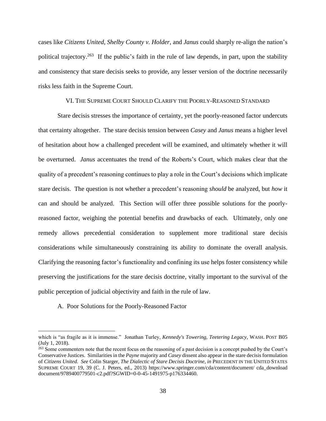cases like *Citizens United*, *Shelby County v. Holder*, and *Janus* could sharply re-align the nation's political trajectory.<sup>263</sup> If the public's faith in the rule of law depends, in part, upon the stability and consistency that stare decisis seeks to provide, any lesser version of the doctrine necessarily risks less faith in the Supreme Court.

### VI. THE SUPREME COURT SHOULD CLARIFY THE POORLY-REASONED STANDARD

Stare decisis stresses the importance of certainty, yet the poorly-reasoned factor undercuts that certainty altogether. The stare decisis tension between *Casey* and *Janus* means a higher level of hesitation about how a challenged precedent will be examined, and ultimately whether it will be overturned. *Janus* accentuates the trend of the Roberts's Court, which makes clear that the quality of a precedent's reasoning continues to play a role in the Court's decisions which implicate stare decisis. The question is not whether a precedent's reasoning *should* be analyzed, but *how* it can and should be analyzed. This Section will offer three possible solutions for the poorlyreasoned factor, weighing the potential benefits and drawbacks of each. Ultimately, only one remedy allows precedential consideration to supplement more traditional stare decisis considerations while simultaneously constraining its ability to dominate the overall analysis. Clarifying the reasoning factor's functionality and confining its use helps foster consistency while preserving the justifications for the stare decisis doctrine, vitally important to the survival of the public perception of judicial objectivity and faith in the rule of law.

A. Poor Solutions for the Poorly-Reasoned Factor

which is "as fragile as it is immense." Jonathan Turley, *Kennedy's Towering, Teetering Legacy*, WASH. POST B05 (July 1, 2018).

<sup>&</sup>lt;sup>263</sup> Some commenters note that the recent focus on the reasoning of a past decision is a concept pushed by the Court's Conservative Justices. Similarities in the *Payne* majority and *Casey* dissent also appear in the stare decisis formulation of *Citizens United. See* Colin Starger, *The Dialectic of Stare Decisis Doctrine*, *in* PRECEDENT IN THE UNITED STATES SUPREME COURT 19, 39 (C. J. Peters, ed., 2013) https://www.springer.com/cda/content/document/ cda\_download document/9789400779501-c2.pdf?SGWID=0-0-45-1491975-p176334460.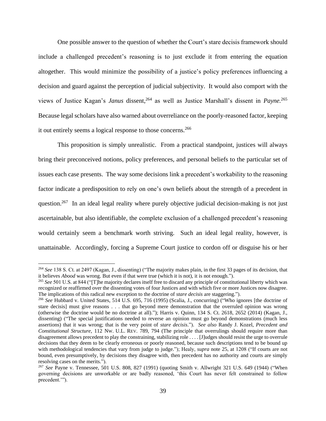One possible answer to the question of whether the Court's stare decisis framework should include a challenged precedent's reasoning is to just exclude it from entering the equation altogether. This would minimize the possibility of a justice's policy preferences influencing a decision and guard against the perception of judicial subjectivity. It would also comport with the views of Justice Kagan's *Janus* dissent,<sup>264</sup> as well as Justice Marshall's dissent in *Payne*.<sup>265</sup> Because legal scholars have also warned about overreliance on the poorly-reasoned factor, keeping it out entirely seems a logical response to those concerns.<sup>266</sup>

This proposition is simply unrealistic. From a practical standpoint, justices will always bring their preconceived notions, policy preferences, and personal beliefs to the particular set of issues each case presents. The way some decisions link a precedent's workability to the reasoning factor indicate a predisposition to rely on one's own beliefs about the strength of a precedent in question.<sup>267</sup> In an ideal legal reality where purely objective judicial decision-making is not just ascertainable, but also identifiable, the complete exclusion of a challenged precedent's reasoning would certainly seem a benchmark worth striving. Such an ideal legal reality, however, is unattainable. Accordingly, forcing a Supreme Court justice to cordon off or disguise his or her

<sup>264</sup> *See* 138 S. Ct. at 2497 (Kagan, J., dissenting) ("The majority makes plain, in the first 33 pages of its decision, that it believes *Abood* was wrong. But even if that were true (which it is not), it is not enough.").

<sup>265</sup> *See* 501 U.S. at 844 ("[T]he majority declares itself free to discard any principle of constitutional liberty which was recognized or reaffirmed over the dissenting votes of four Justices and with which five or more Justices now disagree. The implications of this radical new exception to the doctrine of *stare decisis* are staggering.").

<sup>266</sup> *See* Hubbard v. United States, 514 U.S. 695, 716 (1995) (Scalia, J., concurring) ("Who ignores [the doctrine of stare decisis] must give reasons . . . that go beyond mere demonstration that the overruled opinion was wrong (otherwise the doctrine would be no doctrine at all)."); Harris v. Quinn, 134 S. Ct. 2618, 2652 (2014) (Kagan, J., dissenting) ("The special justifications needed to reverse an opinion must go beyond demonstrations (much less assertions) that it was wrong; that is the very point of *stare decisis*."). *See also* Randy J. Kozel, *Precedent and Constitutional Structure*, 112 NW. U.L. REV. 789, 794 (The principle that overrulings should require more than disagreement allows precedent to play the constraining, stabilizing role . . . . [J]udges should resist the urge to overrule decisions that they deem to be clearly erroneous or poorly reasoned, because such descriptions tend to be bound up with methodological tendencies that vary from judge to judge."); Healy, *supra* note [25,](#page-4-0) at 1208 ("If courts are not bound, even presumptively, by decisions they disagree with, then precedent has no authority and courts are simply resolving cases on the merits.").

<sup>267</sup> *See* Payne v. Tennessee, 501 U.S. 808, 827 (1991) (quoting Smith v. Allwright 321 U.S. 649 (1944) ("When governing decisions are unworkable or are badly reasoned, 'this Court has never felt constrained to follow precedent.").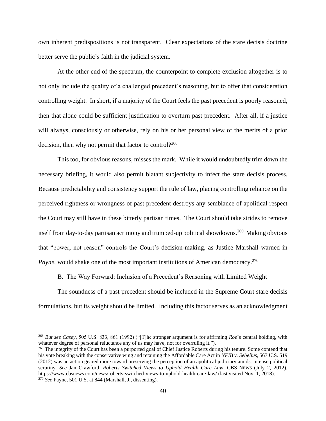own inherent predispositions is not transparent. Clear expectations of the stare decisis doctrine better serve the public's faith in the judicial system.

At the other end of the spectrum, the counterpoint to complete exclusion altogether is to not only include the quality of a challenged precedent's reasoning, but to offer that consideration controlling weight. In short, if a majority of the Court feels the past precedent is poorly reasoned, then that alone could be sufficient justification to overturn past precedent. After all, if a justice will always, consciously or otherwise, rely on his or her personal view of the merits of a prior decision, then why not permit that factor to control?<sup>268</sup>

This too, for obvious reasons, misses the mark. While it would undoubtedly trim down the necessary briefing, it would also permit blatant subjectivity to infect the stare decisis process. Because predictability and consistency support the rule of law, placing controlling reliance on the perceived rightness or wrongness of past precedent destroys any semblance of apolitical respect the Court may still have in these bitterly partisan times. The Court should take strides to remove itself from day-to-day partisan acrimony and trumped-up political showdowns.<sup>269</sup> Making obvious that "power, not reason" controls the Court's decision-making, as Justice Marshall warned in *Payne*, would shake one of the most important institutions of American democracy.<sup>270</sup>

B. The Way Forward: Inclusion of a Precedent's Reasoning with Limited Weight

The soundness of a past precedent should be included in the Supreme Court stare decisis formulations, but its weight should be limited. Including this factor serves as an acknowledgment

<sup>268</sup> *But see Casey*, 505 U.S. 833, 861 (1992) ("[T]he stronger argument is for affirming *Roe*'s central holding, with whatever degree of personal reluctance any of us may have, not for overruling it.").

<sup>&</sup>lt;sup>269</sup> The integrity of the Court has been a purported goal of Chief Justice Roberts during his tenure. Some contend that his vote breaking with the conservative wing and retaining the Affordable Care Act in *NFIB v. Sebelius*, 567 U.S. 519 (2012) was an action geared more toward preserving the perception of an apolitical judiciary amidst intense political scrutiny. *See* Jan Crawford, *Roberts Switched Views to Uphold Health Care Law*, CBS NEWS (July 2, 2012), https://www.cbsnews.com/news/roberts-switched-views-to-uphold-health-care-law/ (last visited Nov. 1, 2018). <sup>270</sup> *See* Payne, 501 U.S. at 844 (Marshall, J., dissenting).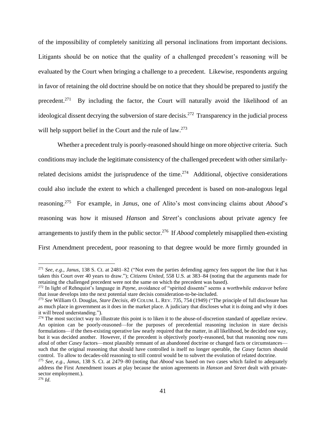of the impossibility of completely sanitizing all personal inclinations from important decisions. Litigants should be on notice that the quality of a challenged precedent's reasoning will be evaluated by the Court when bringing a challenge to a precedent. Likewise, respondents arguing in favor of retaining the old doctrine should be on notice that they should be prepared to justify the precedent.<sup>271</sup> By including the factor, the Court will naturally avoid the likelihood of an ideological dissent decrying the subversion of stare decisis.<sup>272</sup> Transparency in the judicial process will help support belief in the Court and the rule of law.<sup>273</sup>

<span id="page-40-0"></span>Whether a precedent truly is poorly-reasoned should hinge on more objective criteria. Such conditions may include the legitimate consistency of the challenged precedent with other similarlyrelated decisions amidst the jurisprudence of the time.<sup>274</sup> Additional, objective considerations could also include the extent to which a challenged precedent is based on non-analogous legal reasoning. <sup>275</sup> For example, in *Janus*, one of Alito's most convincing claims about *Abood*'s reasoning was how it misused *Hanson* and *Street*'s conclusions about private agency fee arrangements to justify them in the public sector.<sup>276</sup> If *Abood* completely misapplied then-existing First Amendment precedent, poor reasoning to that degree would be more firmly grounded in

<sup>271</sup> *See, e.g.*, *Janus*, 138 S. Ct. at 2481–82 ("Not even the parties defending agency fees support the line that it has taken this Court over 40 years to draw."); *Citizens United*, 558 U.S. at 383–84 (noting that the arguments made for retaining the challenged precedent were not the same on which the precedent was based).

<sup>272</sup> In light of Rehnquist's language in *Payne*, avoidance of "spirited dissents" seems a worthwhile endeavor before that issue develops into the next potential stare decisis consideration-to-be-included.

<sup>273</sup> *See* William O. Douglas, *Stare Decisis*, 49 COLUM. L. REV. 735, 754 (1949) ("The principle of full disclosure has as much place in government as it does in the market place. A judiciary that discloses what it is doing and why it does it will breed understanding.").

 $274$  The most succinct way to illustrate this point is to liken it to the abuse-of-discretion standard of appellate review. An opinion can be poorly-reasoned—for the purposes of precedential reasoning inclusion in stare decisis formulations—if the then-existing operative law nearly required that the matter, in all likelihood, be decided one way, but it was decided another. However, if the precedent is objectively poorly-reasoned, but that reasoning now runs afoul of other *Casey* factors—most plausibly remnant of an abandoned doctrine or changed facts or circumstances such that the original reasoning that should have controlled is itself no longer operable, the *Casey* factors should control. To allow to decades-old reasoning to still control would be to subvert the evolution of related doctrine.

<sup>275</sup> *See*, *e.g.*, *Janus*, 138 S. Ct. at 2479–80 (noting that *Abood* was based on two cases which failed to adequately address the First Amendment issues at play because the union agreements in *Hanson* and *Street* dealt with privatesector employment.).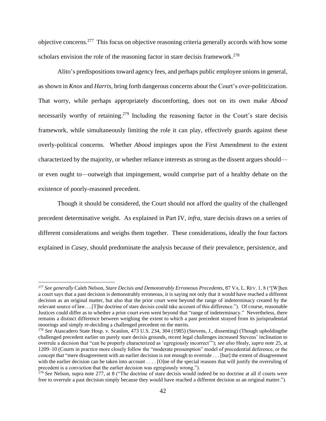<span id="page-41-0"></span>objective concerns.<sup>277</sup> This focus on objective reasoning criteria generally accords with how some scholars envision the role of the reasoning factor in stare decisis framework.<sup>278</sup>

Alito's predispositions toward agency fees, and perhaps public employee unions in general, as shown in *Knox* and *Harris*, bring forth dangerous concerns about the Court's over-politicization. That worry, while perhaps appropriately discomforting, does not on its own make *Abood*  necessarily worthy of retaining.<sup>279</sup> Including the reasoning factor in the Court's stare decisis framework, while simultaneously limiting the role it can play, effectively guards against these overly-political concerns. Whether *Abood* impinges upon the First Amendment to the extent characterized by the majority, or whether reliance interests as strong as the dissent argues should or even ought to—outweigh that impingement, would comprise part of a healthy debate on the existence of poorly-reasoned precedent.

Though it should be considered, the Court should not afford the quality of the challenged precedent determinative weight. As explained in Part IV, *infra*, stare decisis draws on a series of different considerations and weighs them together. These considerations, ideally the four factors explained in *Casey*, should predominate the analysis because of their prevalence, persistence, and

<sup>277</sup> *See generally* Caleb Nelson, *Stare Decisis and Demonstrably Erroneous Precedents*, 87 VA. L. REV. 1, 8 ("[W]hen a court says that a past decision is demonstrably erroneous, it is saying not only that it would have reached a different decision as an original matter, but also that the prior court went beyond the range of indeterminacy created by the relevant source of law….[T]he doctrine of stare decisis could take account of this difference."). Of course, reasonable Justices could differ as to whether a prior court even went beyond that "range of indeterminacy." Nevertheless, there remains a distinct difference between weighing the extent to which a past precedent strayed from its jurisprudential moorings and simply re-deciding a challenged precedent on the merits.

<sup>278</sup> *See* Atascadero State Hosp. v. Scanlon, 473 U.S. 234, 304 (1985) (Stevens, J., dissenting) (Though upholdingthe challenged precedent earlier on purely stare decisis grounds, recent legal challenges increased Stevens' inclination to overrule a decision that "can be properly characterized as 'egregiously incorrect'"); *see also* Healy, *supra note* [25,](#page-4-0) at 1209–10 (Courts in practice more closely follow the "moderate presumption" model of precedential deference, or the concept that "mere disagreement with an earlier decision is not enough to overrule . . . [but] the extent of disagreement with the earlier decision can be taken into account . . . . [O]ne of the special reasons that will justify the overruling of precedent is a conviction that the earlier decision was egregiously wrong.").

<sup>279</sup> *See* Nelson, supra note [277,](#page-41-0) at 8 ("The doctrine of stare decisis would indeed be no doctrine at all if courts were free to overrule a past decision simply because they would have reached a different decision as an original matter.").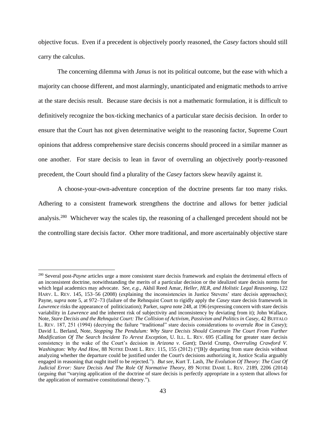objective focus. Even if a precedent is objectively poorly reasoned, the *Casey* factors should still carry the calculus.

The concerning dilemma with *Janus* is not its political outcome, but the ease with which a majority can choose different, and most alarmingly, unanticipated and enigmatic methods to arrive at the stare decisis result. Because stare decisis is not a mathematic formulation, it is difficult to definitively recognize the box-ticking mechanics of a particular stare decisis decision. In order to ensure that the Court has not given determinative weight to the reasoning factor, Supreme Court opinions that address comprehensive stare decisis concerns should proceed in a similar manner as one another. For stare decisis to lean in favor of overruling an objectively poorly-reasoned precedent, the Court should find a plurality of the *Casey* factors skew heavily against it.

A choose-your-own-adventure conception of the doctrine presents far too many risks. Adhering to a consistent framework strengthens the doctrine and allows for better judicial analysis.<sup>280</sup> Whichever way the scales tip, the reasoning of a challenged precedent should not be the controlling stare decisis factor. Other more traditional, and more ascertainably objective stare

<sup>280</sup> Several post-*Payne* articles urge a more consistent stare decisis framework and explain the detrimental effects of an inconsistent doctrine, notwithstanding the merits of a particular decision or the idealized stare decisis norms for which legal academics may advocate. *See, e.g.*, Akhil Reed Amar, *Heller, HLR, and Holistic Legal Reasoning*, 122 HARV. L. REV. 145, 153–56 (2008) (explaining the inconsistencies in Justice Stevens' stare decisis approaches); Payne, *supra* note 5, at 972–73 (failure of the Rehnquist Court to rigidly apply the *Casey* stare decisis framework in *Lawrence* risks the appearance of politicization); Parker, *supra* not[e 248,](#page-34-0) at 196 (expressing concern with stare decisis variability in *Lawrence* and the inherent risk of subjectivity and inconsistency by deviating from it); John Wallace, Note, *Stare Decisis and the Rehnquist Court: The Collision of Activism, Passivism and Politics in Casey*, 42 BUFFALO L. REV. 187, 251 (1994) (decrying the failure "traditional" stare decisis considerations to overrule *Roe* in *Casey*); David L. Berland, Note, *Stopping The Pendulum: Why Stare Decisis Should Constrain The Court From Further Modification Of The Search Incident To Arrest Exception*, U. ILL. L. REV. 695 (Calling for greater stare decisis consistency in the wake of the Court's decision in *Arizona v. Gant*); David Crump, *Overruling Crawford V. Washington: Why And How, 88 NOTRE DAME L. REV. 115, 155 (2012)* ("[B]y departing from stare decisis without analyzing whether the departure could be justified under the Court's decisions authorizing it, Justice Scalia arguably engaged in reasoning that ought itself to be rejected."). *But see*, Kurt T. Lash, *The Evolution Of Theory: The Cost Of Judicial Error: Stare Decisis And The Role Of Normative Theory*, 89 NOTRE DAME L. REV. 2189, 2206 (2014) (arguing that "varying application of the doctrine of stare decisis is perfectly appropriate in a system that allows for the application of normative constitutional theory.").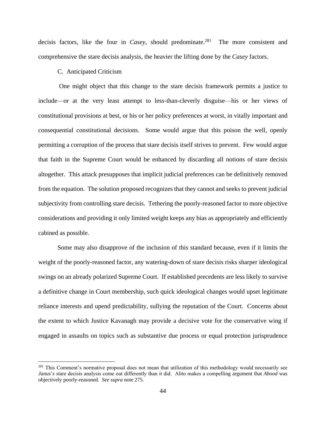decisis factors, like the four in *Casey*, should predominate. 281 The more consistent and comprehensive the stare decisis analysis, the heavier the lifting done by the *Casey* factors.

## C. Anticipated Criticism

One might object that this change to the stare decisis framework permits a justice to include—or at the very least attempt to less-than-cleverly disguise—his or her views of constitutional provisions at best, or his or her policy preferences at worst, in vitally important and consequential constitutional decisions. Some would argue that this poison the well, openly permitting a corruption of the process that stare decisis itself strives to prevent. Few would argue that faith in the Supreme Court would be enhanced by discarding all notions of stare decisis altogether. This attack presupposes that implicit judicial preferences can be definitively removed from the equation. The solution proposed recognizes that they cannot and seeks to prevent judicial subjectivity from controlling stare decisis. Tethering the poorly-reasoned factor to more objective considerations and providing it only limited weight keeps any bias as appropriately and efficiently cabined as possible.

Some may also disapprove of the inclusion of this standard because, even if it limits the weight of the poorly-reasoned factor, any watering-down of stare decisis risks sharper ideological swings on an already polarized Supreme Court. If established precedents are less likely to survive a definitive change in Court membership, such quick ideological changes would upset legitimate reliance interests and upend predictability, sullying the reputation of the Court. Concerns about the extent to which Justice Kavanagh may provide a decisive vote for the conservative wing if engaged in assaults on topics such as substantive due process or equal protection jurisprudence

<sup>&</sup>lt;sup>281</sup> This Comment's normative proposal does not mean that utilization of this methodology would necessarily see *Janus*'s stare decisis analysis come out differently than it did. Alito makes a compelling argument that *Abood* was objectively poorly-reasoned. *See supra* note [275.](#page-40-0)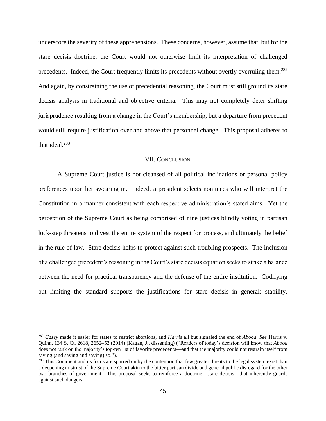underscore the severity of these apprehensions. These concerns, however, assume that, but for the stare decisis doctrine, the Court would not otherwise limit its interpretation of challenged precedents. Indeed, the Court frequently limits its precedents without overtly overruling them.<sup>282</sup> And again, by constraining the use of precedential reasoning, the Court must still ground its stare decisis analysis in traditional and objective criteria. This may not completely deter shifting jurisprudence resulting from a change in the Court's membership, but a departure from precedent would still require justification over and above that personnel change. This proposal adheres to that ideal. 283

### VII. CONCLUSION

A Supreme Court justice is not cleansed of all political inclinations or personal policy preferences upon her swearing in. Indeed, a president selects nominees who will interpret the Constitution in a manner consistent with each respective administration's stated aims. Yet the perception of the Supreme Court as being comprised of nine justices blindly voting in partisan lock-step threatens to divest the entire system of the respect for process, and ultimately the belief in the rule of law. Stare decisis helps to protect against such troubling prospects. The inclusion of a challenged precedent's reasoning in the Court's stare decisis equation seeks to strike a balance between the need for practical transparency and the defense of the entire institution. Codifying but limiting the standard supports the justifications for stare decisis in general: stability,

<sup>282</sup> *Casey* made it easier for states to restrict abortions, and *Harris* all but signaled the end of *Abood*. *See* Harris v. Quinn, 134 S. Ct. 2618, 2652–53 (2014) (Kagan, J., dissenting) ("Readers of today's decision will know that *Abood* does not rank on the majority's top-ten list of favorite precedents—and that the majority could not restrain itself from saying (and saying and saying) so.").

 $283$  This Comment and its focus are spurred on by the contention that few greater threats to the legal system exist than a deepening mistrust of the Supreme Court akin to the bitter partisan divide and general public disregard for the other two branches of government. This proposal seeks to reinforce a doctrine—stare decisis—that inherently guards against such dangers.